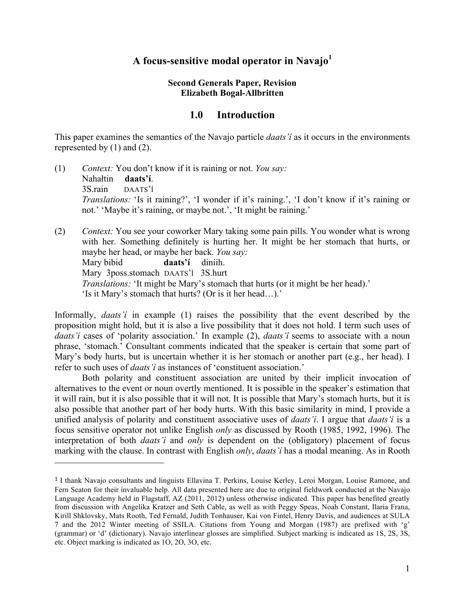# **A focus-sensitive modal operator in Navajo<sup>1</sup>**

### **Second Generals Paper, Revision Elizabeth Bogal-Allbritten**

## **1.0 Introduction**

This paper examines the semantics of the Navajo particle *daats'í* as it occurs in the environments represented by (1) and (2).

- (1) *Context:* You don't know if it is raining or not. *You say:* Nahałtin **daats'í**. 3S.rain DAATS'Í *Translations:* 'Is it raining?', 'I wonder if it's raining.', 'I don't know if it's raining or not.' 'Maybe it's raining, or maybe not.', 'It might be raining.'
- (2) *Context:* You see your coworker Mary taking some pain pills. You wonder what is wrong with her. Something definitely is hurting her. It might be her stomach that hurts, or maybe her head, or maybe her back. *You say:* Mary bibid **daats'í** diniih. Mary 3poss.stomach DAATS'Í 3S.hurt *Translations:* 'It might be Mary's stomach that hurts (or it might be her head).' 'Is it Mary's stomach that hurts? (Or is it her head…).'

Informally, *daats'í* in example (1) raises the possibility that the event described by the proposition might hold, but it is also a live possibility that it does not hold. I term such uses of *daats'í* cases of 'polarity association.' In example (2), *daats'î* seems to associate with a noun phrase, 'stomach.' Consultant comments indicated that the speaker is certain that some part of Mary's body hurts, but is uncertain whether it is her stomach or another part (e.g., her head). I refer to such uses of *daats'í* as instances of 'constituent association.'

Both polarity and constituent association are united by their implicit invocation of alternatives to the event or noun overtly mentioned. It is possible in the speaker's estimation that it will rain, but it is also possible that it will not. It is possible that Mary's stomach hurts, but it is also possible that another part of her body hurts. With this basic similarity in mind, I provide a unified analysis of polarity and constituent associative uses of *daats'í*. I argue that *daats'í* is a focus sensitive operator not unlike English *only* as discussed by Rooth (1985, 1992, 1996). The interpretation of both *daats'í* and *only* is dependent on the (obligatory) placement of focus marking with the clause. In contrast with English *only*, *daats'í* has a modal meaning. As in Rooth

!!!!!!!!!!!!!!!!!!!!!!!!!!!!!!!!!!!!!!!!!!!!!!!!!!!!!!!

<sup>1</sup> I thank Navajo consultants and linguists Ellavina T. Perkins, Louise Kerley, Leroi Morgan, Louise Ramone, and Fern Seaton for their invaluable help. All data presented here are due to original fieldwork conducted at the Navajo Language Academy held in Flagstaff, AZ (2011, 2012) unless otherwise indicated. This paper has benefited greatly from discussion with Angelika Kratzer and Seth Cable, as well as with Peggy Speas, Noah Constant, Ilaria Frana, Kirill Shklovsky, Mats Rooth, Ted Fernald, Judith Tonhauser, Kai von Fintel, Henry Davis, and audiences at SULA 7 and the 2012 Winter meeting of SSILA. Citations from Young and Morgan (1987) are prefixed with 'g' (grammar) or 'd' (dictionary). Navajo interlinear glosses are simplified. Subject marking is indicated as 1S, 2S, 3S, etc. Object marking is indicated as 1O, 2O, 3O, etc.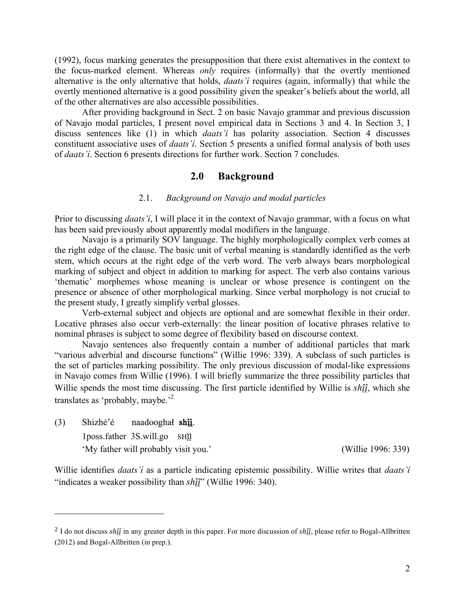(1992), focus marking generates the presupposition that there exist alternatives in the context to the focus-marked element. Whereas *only* requires (informally) that the overtly mentioned alternative is the only alternative that holds, *daats'í* requires (again, informally) that while the overtly mentioned alternative is a good possibility given the speaker's beliefs about the world, all of the other alternatives are also accessible possibilities.

After providing background in Sect. 2 on basic Navajo grammar and previous discussion of Navajo modal particles, I present novel empirical data in Sections 3 and 4. In Section 3, I discuss sentences like (1) in which *daats'í* has polarity association. Section 4 discusses constituent associative uses of *daats'í*. Section 5 presents a unified formal analysis of both uses of *daats'í*. Section 6 presents directions for further work. Section 7 concludes.

# **2.0 Background**

### 2.1. *Background on Navajo and modal particles*

Prior to discussing *daats'í*, I will place it in the context of Navajo grammar, with a focus on what has been said previously about apparently modal modifiers in the language.

Navajo is a primarily SOV language. The highly morphologically complex verb comes at the right edge of the clause. The basic unit of verbal meaning is standardly identified as the verb stem, which occurs at the right edge of the verb word. The verb always bears morphological marking of subject and object in addition to marking for aspect. The verb also contains various 'thematic' morphemes whose meaning is unclear or whose presence is contingent on the presence or absence of other morphological marking. Since verbal morphology is not crucial to the present study, I greatly simplify verbal glosses.

Verb-external subject and objects are optional and are somewhat flexible in their order. Locative phrases also occur verb-externally: the linear position of locative phrases relative to nominal phrases is subject to some degree of flexibility based on discourse context.

Navajo sentences also frequently contain a number of additional particles that mark "various adverbial and discourse functions" (Willie 1996: 339). A subclass of such particles is the set of particles marking possibility. The only previous discussion of modal-like expressions in Navajo comes from Willie (1996). I will briefly summarize the three possibility particles that Willie spends the most time discussing. The first particle identified by Willie is *shį́į́*, which she translates as 'probably, maybe.'2

(3) Shizhé'é naadooghał **shį́į́**. 1 poss.father 3S.will.go SHI 'My father will probably visit you.' (Willie 1996: 339)

!!!!!!!!!!!!!!!!!!!!!!!!!!!!!!!!!!!!!!!!!!!!!!!!!!!!!!!

Willie identifies *daats'í* as a particle indicating epistemic possibility. Willie writes that *daats'í* "indicates a weaker possibility than *shį́į́*" (Willie 1996: 340).

<sup>2</sup> I do not discuss *shį́į́* in any greater depth in this paper. For more discussion of *shį́į́*, please refer to Bogal-Allbritten (2012) and Bogal-Allbritten (in prep.).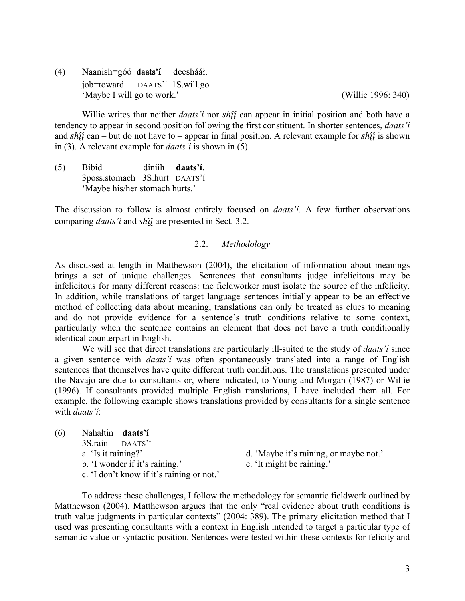(4) Naanish=góó **daats'í** deeshááł. job=toward DAATS'Í 1S.will.go 'Maybe I will go to work.' (Willie 1996: 340)

Willie writes that neither *daats'í* nor *shį́į́* can appear in initial position and both have a tendency to appear in second position following the first constituent. In shorter sentences, *daats'í* and *shį́į́* can – but do not have to – appear in final position. A relevant example for *shį́į́* is shown in (3). A relevant example for *daats'í* is shown in (5).

(5) Bibid diniih **daats'í**. 3poss.stomach 3S.hurt DAATS'Í 'Maybe his/her stomach hurts.'

The discussion to follow is almost entirely focused on *daats'í*. A few further observations comparing *daats'í* and *shį́į́* are presented in Sect. 3.2.

### 2.2. *Methodology*

As discussed at length in Matthewson (2004), the elicitation of information about meanings brings a set of unique challenges. Sentences that consultants judge infelicitous may be infelicitous for many different reasons: the fieldworker must isolate the source of the infelicity. In addition, while translations of target language sentences initially appear to be an effective method of collecting data about meaning, translations can only be treated as clues to meaning and do not provide evidence for a sentence's truth conditions relative to some context, particularly when the sentence contains an element that does not have a truth conditionally identical counterpart in English.

We will see that direct translations are particularly ill-suited to the study of *daats'í* since a given sentence with *daats'í* was often spontaneously translated into a range of English sentences that themselves have quite different truth conditions. The translations presented under the Navajo are due to consultants or, where indicated, to Young and Morgan (1987) or Willie (1996). If consultants provided multiple English translations, I have included them all. For example, the following example shows translations provided by consultants for a single sentence with *daats'í*:

(6) Nahałtin **daats'í**

3S.rain DAATS'Í

- 
- b. 'I wonder if it's raining.' e. 'It might be raining.'
- c. 'I don't know if it's raining or not.'
- a. 'Is it raining?' d. 'Maybe it's raining, or maybe not.'
	-

To address these challenges, I follow the methodology for semantic fieldwork outlined by Matthewson (2004). Matthewson argues that the only "real evidence about truth conditions is truth value judgments in particular contexts" (2004: 389). The primary elicitation method that I used was presenting consultants with a context in English intended to target a particular type of semantic value or syntactic position. Sentences were tested within these contexts for felicity and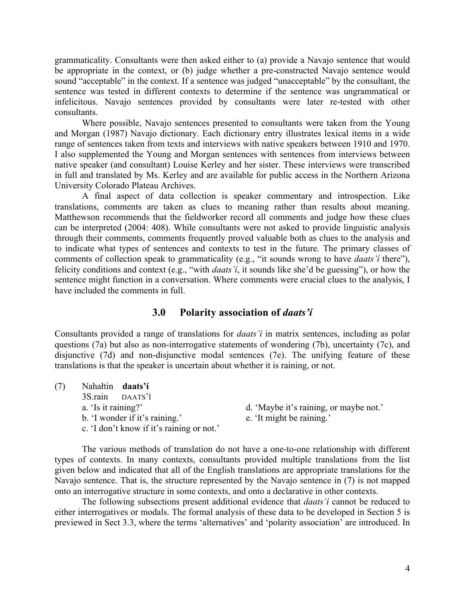grammaticality. Consultants were then asked either to (a) provide a Navajo sentence that would be appropriate in the context, or (b) judge whether a pre-constructed Navajo sentence would sound "acceptable" in the context. If a sentence was judged "unacceptable" by the consultant, the sentence was tested in different contexts to determine if the sentence was ungrammatical or infelicitous. Navajo sentences provided by consultants were later re-tested with other consultants.

Where possible, Navajo sentences presented to consultants were taken from the Young and Morgan (1987) Navajo dictionary. Each dictionary entry illustrates lexical items in a wide range of sentences taken from texts and interviews with native speakers between 1910 and 1970. I also supplemented the Young and Morgan sentences with sentences from interviews between native speaker (and consultant) Louise Kerley and her sister. These interviews were transcribed in full and translated by Ms. Kerley and are available for public access in the Northern Arizona University Colorado Plateau Archives.

A final aspect of data collection is speaker commentary and introspection. Like translations, comments are taken as clues to meaning rather than results about meaning. Matthewson recommends that the fieldworker record all comments and judge how these clues can be interpreted (2004: 408). While consultants were not asked to provide linguistic analysis through their comments, comments frequently proved valuable both as clues to the analysis and to indicate what types of sentences and contexts to test in the future. The primary classes of comments of collection speak to grammaticality (e.g., "it sounds wrong to have *daats'í* there"), felicity conditions and context (e.g., "with *daats'í*, it sounds like she'd be guessing"), or how the sentence might function in a conversation. Where comments were crucial clues to the analysis, I have included the comments in full.

### **3.0 Polarity association of** *daats'í*

Consultants provided a range of translations for *daats'í* in matrix sentences, including as polar questions (7a) but also as non-interrogative statements of wondering (7b), uncertainty (7c), and disjunctive (7d) and non-disjunctive modal sentences (7e). The unifying feature of these translations is that the speaker is uncertain about whether it is raining, or not.

| (7) | Nahaltin daats'i                          |                                        |  |  |
|-----|-------------------------------------------|----------------------------------------|--|--|
|     | 3S.rain DAATS'I                           |                                        |  |  |
|     | a. 'Is it raining?'                       | d. 'Maybe it's raining, or maybe not.' |  |  |
|     | b. T wonder if it's raining.              | e. It might be raining.'               |  |  |
|     | c. 'I don't know if it's raining or not.' |                                        |  |  |

The various methods of translation do not have a one-to-one relationship with different types of contexts. In many contexts, consultants provided multiple translations from the list given below and indicated that all of the English translations are appropriate translations for the Navajo sentence. That is, the structure represented by the Navajo sentence in (7) is not mapped onto an interrogative structure in some contexts, and onto a declarative in other contexts.

The following subsections present additional evidence that *daats'í* cannot be reduced to either interrogatives or modals. The formal analysis of these data to be developed in Section 5 is previewed in Sect 3.3, where the terms 'alternatives' and 'polarity association' are introduced. In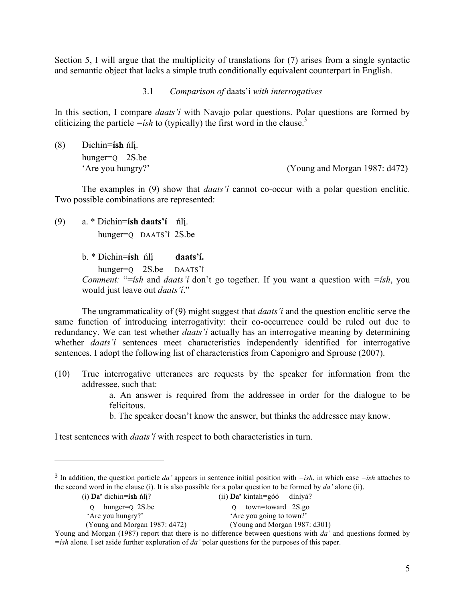Section 5, I will argue that the multiplicity of translations for (7) arises from a single syntactic and semantic object that lacks a simple truth conditionally equivalent counterpart in English.

### 3.1 *Comparison of* daats'í *with interrogatives*

In this section, I compare *daats'í* with Navajo polar questions. Polar questions are formed by cliticizing the particle  $=ish$  to (typically) the first word in the clause.<sup>3</sup>

(8) Dichin=**ísh** ńlį́. hunger=Q 2S.be 'Are you hungry?' (Young and Morgan 1987: d472)

The examples in (9) show that *daats'í* cannot co-occur with a polar question enclitic. Two possible combinations are represented:

(9) a. \* Dichin=**ísh daats'í** ńlį́.

hunger=Q DAATS'Í 2S.be

b. \* Dichin=**ísh** ńlį́ **daats'í.** hunger=Q 2S.be DAATS'Í *Comment:* "=*ísh* and *daats'í* don't go together. If you want a question with *=ísh*, you would just leave out *daats'í*."

The ungrammaticality of (9) might suggest that *daats'í* and the question enclitic serve the same function of introducing interrogativity: their co-occurrence could be ruled out due to redundancy. We can test whether *daats'í* actually has an interrogative meaning by determining whether *daats'i* sentences meet characteristics independently identified for interrogative sentences. I adopt the following list of characteristics from Caponigro and Sprouse (2007).

(10) True interrogative utterances are requests by the speaker for information from the addressee, such that:

> a. An answer is required from the addressee in order for the dialogue to be felicitous.

b. The speaker doesn't know the answer, but thinks the addressee may know.

I test sentences with *daats'í* with respect to both characteristics in turn.

- (i) **Da'** dichin=**ísh** ńlį́? (ii) **Da'** kintah=góó díníyá? Q hunger=Q 2S.be Q town=toward 2S.go<br>
'Are you hungry?' <br>
Are you going to town?'
- (Young and Morgan 1987:  $d472$ )

!!!!!!!!!!!!!!!!!!!!!!!!!!!!!!!!!!!!!!!!!!!!!!!!!!!!!!!

'Are you going to town?'<br>(Young and Morgan 1987: d301)

<sup>3</sup> In addition, the question particle *da'* appears in sentence initial position with *=ísh*, in which case *=ísh* attaches to the second word in the clause (i). It is also possible for a polar question to be formed by *da'* alone (ii).

Young and Morgan (1987) report that there is no difference between questions with *da'* and questions formed by *=ísh* alone. I set aside further exploration of *da'* polar questions for the purposes of this paper.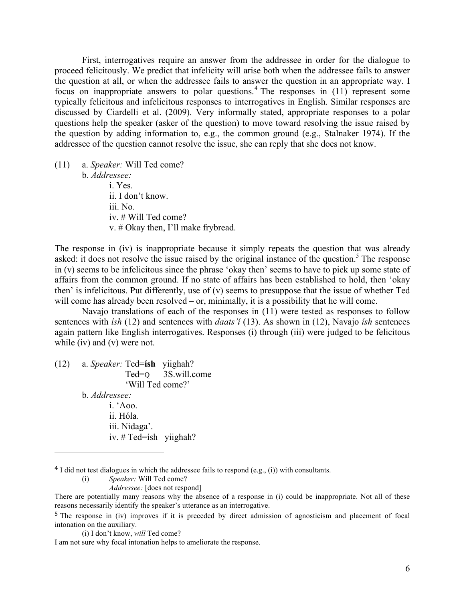First, interrogatives require an answer from the addressee in order for the dialogue to proceed felicitously. We predict that infelicity will arise both when the addressee fails to answer the question at all, or when the addressee fails to answer the question in an appropriate way. I focus on inappropriate answers to polar questions.<sup>4</sup> The responses in  $(11)$  represent some typically felicitous and infelicitous responses to interrogatives in English. Similar responses are discussed by Ciardelli et al. (2009). Very informally stated, appropriate responses to a polar questions help the speaker (asker of the question) to move toward resolving the issue raised by the question by adding information to, e.g., the common ground (e.g., Stalnaker 1974). If the addressee of the question cannot resolve the issue, she can reply that she does not know.

(11) a. *Speaker:* Will Ted come?

b. *Addressee:* i. Yes. ii. I don't know. iii. No. iv. # Will Ted come? v. # Okay then, I'll make frybread.

The response in (iv) is inappropriate because it simply repeats the question that was already asked: it does not resolve the issue raised by the original instance of the question.<sup>5</sup> The response in (v) seems to be infelicitous since the phrase 'okay then' seems to have to pick up some state of affairs from the common ground. If no state of affairs has been established to hold, then 'okay then' is infelicitous. Put differently, use of (v) seems to presuppose that the issue of whether Ted will come has already been resolved – or, minimally, it is a possibility that he will come.

Navajo translations of each of the responses in (11) were tested as responses to follow sentences with *ísh* (12) and sentences with *daats'í* (13). As shown in (12), Navajo *ísh* sentences again pattern like English interrogatives. Responses (i) through (iii) were judged to be felicitous while (iv) and (v) were not.

(12) a. *Speaker:* Ted=**ísh** yiighah? Ted=Q 3S.will.come 'Will Ted come?' b. *Addressee:* i. 'Aoo. ii. Hóla. iii. Nidaga'. iv. # Ted=ísh yiighah? !!!!!!!!!!!!!!!!!!!!!!!!!!!!!!!!!!!!!!!!!!!!!!!!!!!!!!!

<sup>4</sup> I did not test dialogues in which the addressee fails to respond (e.g., (i)) with consultants.

(i) *Speaker:* Will Ted come?

*Addressee:* [does not respond]

There are potentially many reasons why the absence of a response in (i) could be inappropriate. Not all of these reasons necessarily identify the speaker's utterance as an interrogative.

<sup>5</sup> The response in (iv) improves if it is preceded by direct admission of agnosticism and placement of focal intonation on the auxiliary.

(i) I don't know, *will* Ted come?

I am not sure why focal intonation helps to ameliorate the response.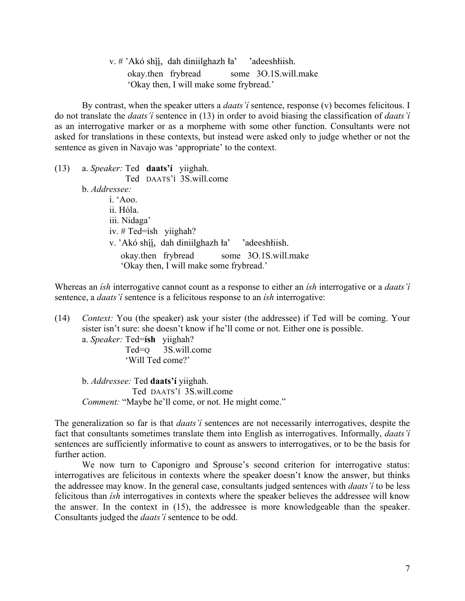v. # 'Akó shį́į́, dah diniilghazh ła' 'adeeshłiish. okay.then frybread some 3O.1S.will.make 'Okay then, I will make some frybread.'

By contrast, when the speaker utters a *daats'í* sentence, response (v) becomes felicitous. I do not translate the *daats'í* sentence in (13) in order to avoid biasing the classification of *daats'í* as an interrogative marker or as a morpheme with some other function. Consultants were not asked for translations in these contexts, but instead were asked only to judge whether or not the sentence as given in Navajo was 'appropriate' to the context.

(13) a. *Speaker:* Ted **daats'í** yiighah. Ted DAATS' i 3S will come b. *Addressee:* i. 'Aoo. ii. Hóla. iii. Nidaga' iv. # Ted=ísh yiighah? v. 'Akó shį́į́, dah diniilghazh ła' 'adeeshłiish. okay.then frybread some 3O.1S.will.make 'Okay then, I will make some frybread.'

Whereas an *ísh* interrogative cannot count as a response to either an *ísh* interrogative or a *daats'í* sentence, a *daats'í* sentence is a felicitous response to an *ísh* interrogative:

(14) *Context:* You (the speaker) ask your sister (the addressee) if Ted will be coming. Your sister isn't sure: she doesn't know if he'll come or not. Either one is possible. a. *Speaker:* Ted=**ísh** yiighah?

 Ted=Q 3S.will.come 'Will Ted come?'

b. *Addressee:* Ted **daats'í** yiighah. Ted DAATS'Í 3S.will.come *Comment:* "Maybe he'll come, or not. He might come."

The generalization so far is that *daats'í* sentences are not necessarily interrogatives, despite the fact that consultants sometimes translate them into English as interrogatives. Informally, *daats'í* sentences are sufficiently informative to count as answers to interrogatives, or to be the basis for further action.

We now turn to Caponigro and Sprouse's second criterion for interrogative status: interrogatives are felicitous in contexts where the speaker doesn't know the answer, but thinks the addressee may know. In the general case, consultants judged sentences with *daats'í* to be less felicitous than *ísh* interrogatives in contexts where the speaker believes the addressee will know the answer. In the context in (15), the addressee is more knowledgeable than the speaker. Consultants judged the *daats'í* sentence to be odd.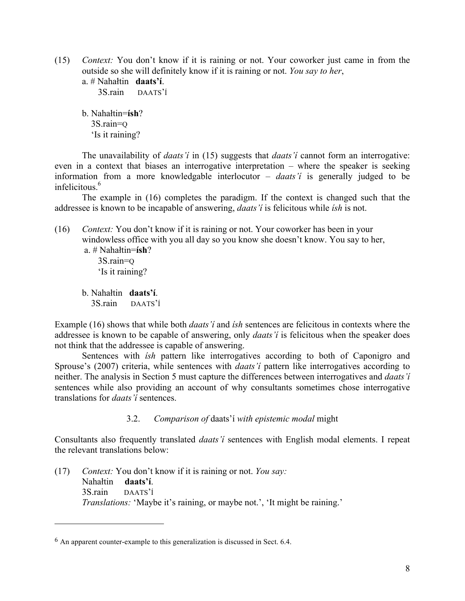- (15) *Context:* You don't know if it is raining or not. Your coworker just came in from the outside so she will definitely know if it is raining or not. *You say to her*,
	- a. # Nahałtin **daats'í**. 3S.rain DAATS'Í
	- b. Nahałtin=**ísh**? 3S.rain=Q 'Is it raining?

The unavailability of *daats'í* in (15) suggests that *daats'í* cannot form an interrogative: even in a context that biases an interrogative interpretation – where the speaker is seeking information from a more knowledgable interlocutor – *daats'í* is generally judged to be infelicitous.<sup>6</sup>

The example in (16) completes the paradigm. If the context is changed such that the addressee is known to be incapable of answering, *daats'í* is felicitous while *ísh* is not.

(16) *Context:* You don't know if it is raining or not. Your coworker has been in your windowless office with you all day so you know she doesn't know. You say to her, a. # Nahałtin=**ísh**? 3S.rain=Q

'Is it raining?

 b. Nahałtin **daats'í**. 3S.rain DAATS'Í

!!!!!!!!!!!!!!!!!!!!!!!!!!!!!!!!!!!!!!!!!!!!!!!!!!!!!!!

Example (16) shows that while both *daats'í* and *ísh* sentences are felicitous in contexts where the addressee is known to be capable of answering, only *daats'í* is felicitous when the speaker does not think that the addressee is capable of answering.

Sentences with *ísh* pattern like interrogatives according to both of Caponigro and Sprouse's (2007) criteria, while sentences with *daats'í* pattern like interrogatives according to neither. The analysis in Section 5 must capture the differences between interrogatives and *daats'í* sentences while also providing an account of why consultants sometimes chose interrogative translations for *daats'í* sentences.

3.2. *Comparison of* daats'í *with epistemic modal* might

Consultants also frequently translated *daats'í* sentences with English modal elements. I repeat the relevant translations below:

(17) *Context:* You don't know if it is raining or not. *You say:* Nahałtin **daats'í**. 3S.rain DAATS'Í *Translations:* 'Maybe it's raining, or maybe not.', 'It might be raining.'

<sup>6</sup> An apparent counter-example to this generalization is discussed in Sect. 6.4.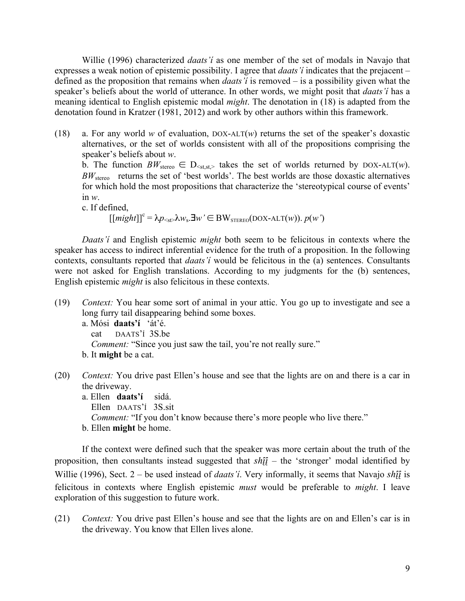Willie (1996) characterized *daats'í* as one member of the set of modals in Navajo that expresses a weak notion of epistemic possibility. I agree that *daats'í* indicates that the prejacent – defined as the proposition that remains when *daats'í* is removed – is a possibility given what the speaker's beliefs about the world of utterance. In other words, we might posit that *daats'í* has a meaning identical to English epistemic modal *might*. The denotation in (18) is adapted from the denotation found in Kratzer (1981, 2012) and work by other authors within this framework.

(18) a. For any world *w* of evaluation, DOX-ALT(*w*) returns the set of the speaker's doxastic alternatives, or the set of worlds consistent with all of the propositions comprising the speaker's beliefs about *w*.

b. The function  $BW_{\text{stereo}} \in D_{\text{st,st}}$  takes the set of worlds returned by DOX-ALT(*w*). *BW*<sub>stereo</sub> returns the set of 'best worlds'. The best worlds are those doxastic alternatives for which hold the most propositions that characterize the 'stereotypical course of events' in *w*.

c. If defined,

$$
[[might]]^c = \lambda p_{\text{
$$

*Daats'í* and English epistemic *might* both seem to be felicitous in contexts where the speaker has access to indirect inferential evidence for the truth of a proposition. In the following contexts, consultants reported that *daats'í* would be felicitous in the (a) sentences. Consultants were not asked for English translations. According to my judgments for the (b) sentences, English epistemic *might* is also felicitous in these contexts.

- (19) *Context:* You hear some sort of animal in your attic. You go up to investigate and see a long furry tail disappearing behind some boxes.
	- a. Mósi **daats'í** 'át'é. cat DAATS'Í 3S.be *Comment:* "Since you just saw the tail, you're not really sure." b. It **might** be a cat.
- (20) *Context:* You drive past Ellen's house and see that the lights are on and there is a car in the driveway. a. Ellen **daats'í** sidá. Ellen DAATS'Í 3S.sit *Comment:* "If you don't know because there's more people who live there." b. Ellen **might** be home.

If the context were defined such that the speaker was more certain about the truth of the proposition, then consultants instead suggested that *shį́į́* – the 'stronger' modal identified by Willie (1996), Sect. 2 – be used instead of *daats'í*. Very informally, it seems that Navajo *shį́į́* is felicitous in contexts where English epistemic *must* would be preferable to *might*. I leave exploration of this suggestion to future work.

(21) *Context:* You drive past Ellen's house and see that the lights are on and Ellen's car is in the driveway. You know that Ellen lives alone.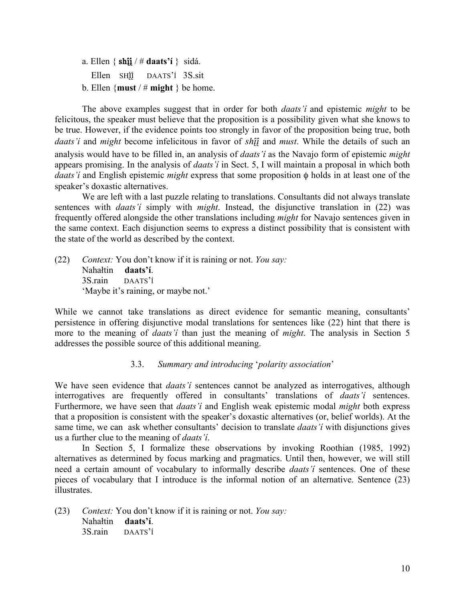a. Ellen { **shį́į́**/ # **daats'í** } sidá. Ellen SHII DAATS'I 3S.sit b. Ellen  $\{must / # might \}$  be home.

The above examples suggest that in order for both *daats'í* and epistemic *might* to be felicitous, the speaker must believe that the proposition is a possibility given what she knows to be true. However, if the evidence points too strongly in favor of the proposition being true, both *daats'í* and *might* become infelicitous in favor of *shį́į́* and *must*. While the details of such an analysis would have to be filled in, an analysis of *daats'í* as the Navajo form of epistemic *might* appears promising. In the analysis of *daats'í* in Sect. 5, I will maintain a proposal in which both *daats'í* and English epistemic *might* express that some proposition φ holds in at least one of the speaker's doxastic alternatives.

We are left with a last puzzle relating to translations. Consultants did not always translate sentences with *daats'í* simply with *might*. Instead, the disjunctive translation in (22) was frequently offered alongside the other translations including *might* for Navajo sentences given in the same context. Each disjunction seems to express a distinct possibility that is consistent with the state of the world as described by the context.

(22) *Context:* You don't know if it is raining or not. *You say:* Nahałtin **daats'í**. 3S.rain DAATS'Í 'Maybe it's raining, or maybe not.'

While we cannot take translations as direct evidence for semantic meaning, consultants' persistence in offering disjunctive modal translations for sentences like (22) hint that there is more to the meaning of *daats'í* than just the meaning of *might*. The analysis in Section 5 addresses the possible source of this additional meaning.

### 3.3. *Summary and introducing* '*polarity association*'

We have seen evidence that *daats'í* sentences cannot be analyzed as interrogatives, although interrogatives are frequently offered in consultants' translations of *daats'í* sentences. Furthermore, we have seen that *daats'í* and English weak epistemic modal *might* both express that a proposition is consistent with the speaker's doxastic alternatives (or, belief worlds). At the same time, we can ask whether consultants' decision to translate *daats'í* with disjunctions gives us a further clue to the meaning of *daats'í*.

In Section 5, I formalize these observations by invoking Roothian (1985, 1992) alternatives as determined by focus marking and pragmatics. Until then, however, we will still need a certain amount of vocabulary to informally describe *daats'í* sentences. One of these pieces of vocabulary that I introduce is the informal notion of an alternative. Sentence (23) **illustrates** 

(23) *Context:* You don't know if it is raining or not. *You say:* Nahałtin **daats'í**. 3S.rain DAATS'Í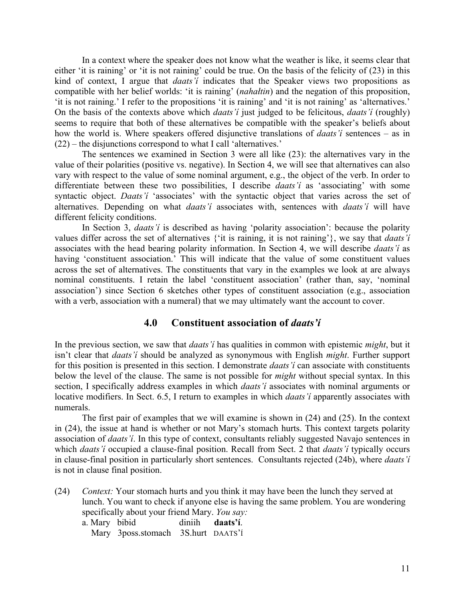In a context where the speaker does not know what the weather is like, it seems clear that either 'it is raining' or 'it is not raining' could be true. On the basis of the felicity of (23) in this kind of context, I argue that *daats'í* indicates that the Speaker views two propositions as compatible with her belief worlds: 'it is raining' (*nahałtin*) and the negation of this proposition, 'it is not raining.' I refer to the propositions 'it is raining' and 'it is not raining' as 'alternatives.' On the basis of the contexts above which *daats'í* just judged to be felicitous, *daats'í* (roughly) seems to require that both of these alternatives be compatible with the speaker's beliefs about how the world is. Where speakers offered disjunctive translations of *daats'í* sentences – as in (22) – the disjunctions correspond to what I call 'alternatives.'

The sentences we examined in Section 3 were all like (23): the alternatives vary in the value of their polarities (positive vs. negative). In Section 4, we will see that alternatives can also vary with respect to the value of some nominal argument, e.g., the object of the verb. In order to differentiate between these two possibilities, I describe *daats'í* as 'associating' with some syntactic object. *Daats'í* 'associates' with the syntactic object that varies across the set of alternatives. Depending on what *daats'í* associates with, sentences with *daats'í* will have different felicity conditions.

In Section 3, *daats'í* is described as having 'polarity association': because the polarity values differ across the set of alternatives {'it is raining, it is not raining'}, we say that *daats'í* associates with the head bearing polarity information. In Section 4, we will describe *daats'í* as having 'constituent association.' This will indicate that the value of some constituent values across the set of alternatives. The constituents that vary in the examples we look at are always nominal constituents. I retain the label 'constituent association' (rather than, say, 'nominal association') since Section 6 sketches other types of constituent association (e.g., association with a verb, association with a numeral) that we may ultimately want the account to cover.

# **4.0 Constituent association of** *daats'í*

In the previous section, we saw that *daats'í* has qualities in common with epistemic *might*, but it isn't clear that *daats'í* should be analyzed as synonymous with English *might*. Further support for this position is presented in this section. I demonstrate *daats'í* can associate with constituents below the level of the clause. The same is not possible for *might* without special syntax. In this section, I specifically address examples in which *daats'í* associates with nominal arguments or locative modifiers. In Sect. 6.5, I return to examples in which *daats'í* apparently associates with numerals.

The first pair of examples that we will examine is shown in (24) and (25). In the context in (24), the issue at hand is whether or not Mary's stomach hurts. This context targets polarity association of *daats'í*. In this type of context, consultants reliably suggested Navajo sentences in which *daats'í* occupied a clause-final position. Recall from Sect. 2 that *daats'í* typically occurs in clause-final position in particularly short sentences. Consultants rejected (24b), where *daats'í* is not in clause final position.

(24) *Context:* Your stomach hurts and you think it may have been the lunch they served at lunch. You want to check if anyone else is having the same problem. You are wondering specifically about your friend Mary. *You say:* a. Mary bibid diniih **daats'í**.

Mary 3poss.stomach 3S.hurt DAATS'I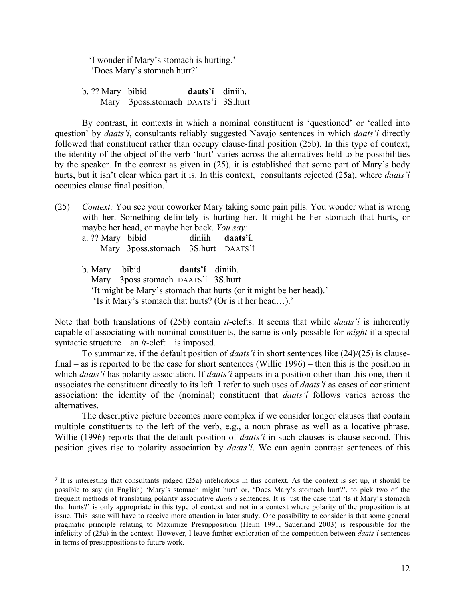'I wonder if Mary's stomach is hurting.' 'Does Mary's stomach hurt?'

b. ?? Mary bibid **daats'í** diniih. Mary 3poss.stomach DAATS'Í 3S.hurt

By contrast, in contexts in which a nominal constituent is 'questioned' or 'called into question' by *daats'í*, consultants reliably suggested Navajo sentences in which *daats'í* directly followed that constituent rather than occupy clause-final position (25b). In this type of context, the identity of the object of the verb 'hurt' varies across the alternatives held to be possibilities by the speaker. In the context as given in (25), it is established that some part of Mary's body hurts, but it isn't clear which part it is. In this context, consultants rejected (25a), where *daats'í* occupies clause final position.<sup>7</sup>

(25) *Context:* You see your coworker Mary taking some pain pills. You wonder what is wrong with her. Something definitely is hurting her. It might be her stomach that hurts, or maybe her head, or maybe her back. *You say:*

a. ?? Mary bibid diniih **daats'í**. Mary 3poss.stomach 3S.hurt DAATS'I

!!!!!!!!!!!!!!!!!!!!!!!!!!!!!!!!!!!!!!!!!!!!!!!!!!!!!!!

b. Mary bibid **daats'í** diniih. Mary 3poss.stomach DAATS'Í 3S.hurt 'It might be Mary's stomach that hurts (or it might be her head).' 'Is it Mary's stomach that hurts? (Or is it her head…).'

Note that both translations of (25b) contain *it*-clefts. It seems that while *daats'í* is inherently capable of associating with nominal constituents, the same is only possible for *might* if a special syntactic structure – an *it*-cleft – is imposed.

To summarize, if the default position of *daats'í* in short sentences like (24)/(25) is clausefinal – as is reported to be the case for short sentences (Willie 1996) – then this is the position in which *daats'í* has polarity association. If *daats'í* appears in a position other than this one, then it associates the constituent directly to its left. I refer to such uses of *daats'í* as cases of constituent association: the identity of the (nominal) constituent that *daats'í* follows varies across the alternatives.

The descriptive picture becomes more complex if we consider longer clauses that contain multiple constituents to the left of the verb, e.g., a noun phrase as well as a locative phrase. Willie (1996) reports that the default position of *daats'i* in such clauses is clause-second. This position gives rise to polarity association by *daats'í*. We can again contrast sentences of this

<sup>7</sup> It is interesting that consultants judged (25a) infelicitous in this context. As the context is set up, it should be possible to say (in English) 'Mary's stomach might hurt' or, 'Does Mary's stomach hurt?', to pick two of the frequent methods of translating polarity associative *daats'í* sentences. It is just the case that 'Is it Mary's stomach that hurts?' is only appropriate in this type of context and not in a context where polarity of the proposition is at issue. This issue will have to receive more attention in later study. One possibility to consider is that some general pragmatic principle relating to Maximize Presupposition (Heim 1991, Sauerland 2003) is responsible for the infelicity of (25a) in the context. However, I leave further exploration of the competition between *daats'í* sentences in terms of presuppositions to future work.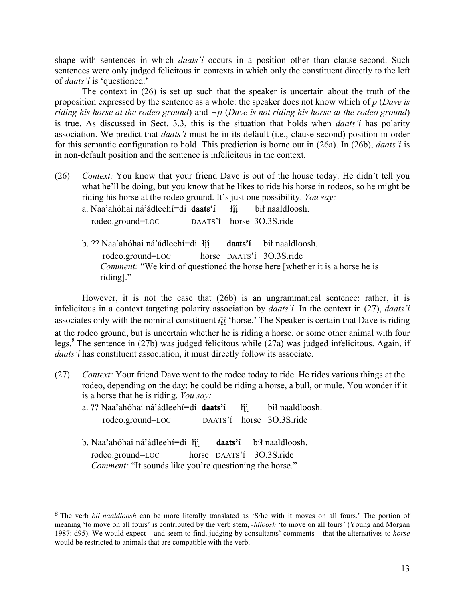shape with sentences in which *daats'í* occurs in a position other than clause-second. Such sentences were only judged felicitous in contexts in which only the constituent directly to the left of *daats'í* is 'questioned.'

The context in (26) is set up such that the speaker is uncertain about the truth of the proposition expressed by the sentence as a whole: the speaker does not know which of *p* (*Dave is riding his horse at the rodeo ground*) and ¬*p* (*Dave is not riding his horse at the rodeo ground*) is true. As discussed in Sect. 3.3, this is the situation that holds when *daats'í* has polarity association. We predict that *daats'í* must be in its default (i.e., clause-second) position in order for this semantic configuration to hold. This prediction is borne out in (26a). In (26b), *daats'í* is in non-default position and the sentence is infelicitous in the context.

(26) *Context:* You know that your friend Dave is out of the house today. He didn't tell you what he'll be doing, but you know that he likes to ride his horse in rodeos, so he might be riding his horse at the rodeo ground. It's just one possibility. *You say:*

| a. Naa'ahóhai ná'ádleehí=di <b>daats'í</b> líí |  | bił naaldloosh.         |
|------------------------------------------------|--|-------------------------|
| $rodeo.ground=LOC$                             |  | DAATS' horse 30.3S.ride |
|                                                |  |                         |

b. ?? Naa'ahóhai ná'ádleehí=di łį́į́ **daats'í** bił naaldloosh. rodeo.ground=LOC horse DAATS'Í 3O.3S.ride *Comment:* "We kind of questioned the horse here [whether it is a horse he is riding]."

However, it is not the case that (26b) is an ungrammatical sentence: rather, it is infelicitous in a context targeting polarity association by *daats'í*. In the context in (27), *daats'í* associates only with the nominal constituent *łį́į́*'horse.' The Speaker is certain that Dave is riding at the rodeo ground, but is uncertain whether he is riding a horse, or some other animal with four legs. <sup>8</sup> The sentence in (27b) was judged felicitous while (27a) was judged infelicitous. Again, if *daats'í* has constituent association, it must directly follow its associate.

- (27) *Context:* Your friend Dave went to the rodeo today to ride. He rides various things at the rodeo, depending on the day: he could be riding a horse, a bull, or mule. You wonder if it is a horse that he is riding. *You say:*
	- a. ?? Naa'ahóhai ná'ádleehí=di **daats'í** łį́į́ bił naaldloosh. rodeo.ground=LOC DAATS'Í horse 3O.3S.ride
	- b. Naa'ahóhai ná'ádleehí=di łį́į́ **daats'í** bił naaldloosh. rodeo.ground=LOC horse DAATS'Í 3O.3S.ride *Comment:* "It sounds like you're questioning the horse."

!!!!!!!!!!!!!!!!!!!!!!!!!!!!!!!!!!!!!!!!!!!!!!!!!!!!!!!

<sup>8</sup> The verb *bił naaldloosh* can be more literally translated as 'S/he with it moves on all fours.' The portion of meaning 'to move on all fours' is contributed by the verb stem, *-ldloosh* 'to move on all fours' (Young and Morgan 1987: d95). We would expect – and seem to find, judging by consultants' comments – that the alternatives to *horse* would be restricted to animals that are compatible with the verb.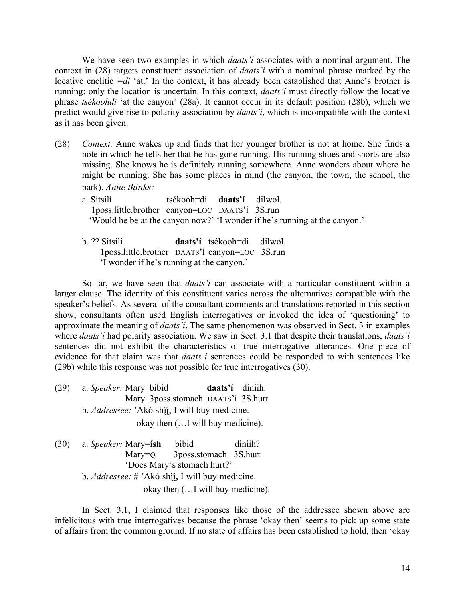We have seen two examples in which *daats'í* associates with a nominal argument. The context in (28) targets constituent association of *daats'í* with a nominal phrase marked by the locative enclitic *=di* 'at.' In the context, it has already been established that Anne's brother is running: only the location is uncertain. In this context, *daats'í* must directly follow the locative phrase *tsékoohdi* 'at the canyon' (28a). It cannot occur in its default position (28b), which we predict would give rise to polarity association by *daats'í*, which is incompatible with the context as it has been given.

- (28) *Context:* Anne wakes up and finds that her younger brother is not at home. She finds a note in which he tells her that he has gone running. His running shoes and shorts are also missing. She knows he is definitely running somewhere. Anne wonders about where he might be running. She has some places in mind (the canyon, the town, the school, the park). *Anne thinks:*
	- a. Sitsilí tsékooh=di **daats'í** dilwoł. 1poss.little.brother canyon=LOC DAATS'Í 3S.run 'Would he be at the canyon now?' 'I wonder if he's running at the canyon.'
	- b. ?? Sitsilí **daats'í** tsékooh=di dilwoł. 1poss.little.brother DAATS'Í canyon=LOC 3S.run 'I wonder if he's running at the canyon.'

So far, we have seen that *daats'í* can associate with a particular constituent within a larger clause. The identity of this constituent varies across the alternatives compatible with the speaker's beliefs. As several of the consultant comments and translations reported in this section show, consultants often used English interrogatives or invoked the idea of 'questioning' to approximate the meaning of *daats'í*. The same phenomenon was observed in Sect. 3 in examples where *daats'í* had polarity association. We saw in Sect. 3.1 that despite their translations, *daats'í* sentences did not exhibit the characteristics of true interrogative utterances. One piece of evidence for that claim was that *daats'í* sentences could be responded to with sentences like (29b) while this response was not possible for true interrogatives (30).

(29) a. *Speaker:* Mary bibid **daats'í** diniih. Mary 3poss.stomach DAATS'Í 3S.hurt b. *Addressee:* 'Akó shį́į́, I will buy medicine. okay then (…I will buy medicine).

(30) a. *Speaker:* Mary=**ísh** bibid diniih? Mary=Q 3poss.stomach 3S.hurt 'Does Mary's stomach hurt?' b. *Addressee:* # 'Akó shį́į́, I will buy medicine. okay then (…I will buy medicine).

In Sect. 3.1, I claimed that responses like those of the addressee shown above are infelicitous with true interrogatives because the phrase 'okay then' seems to pick up some state of affairs from the common ground. If no state of affairs has been established to hold, then 'okay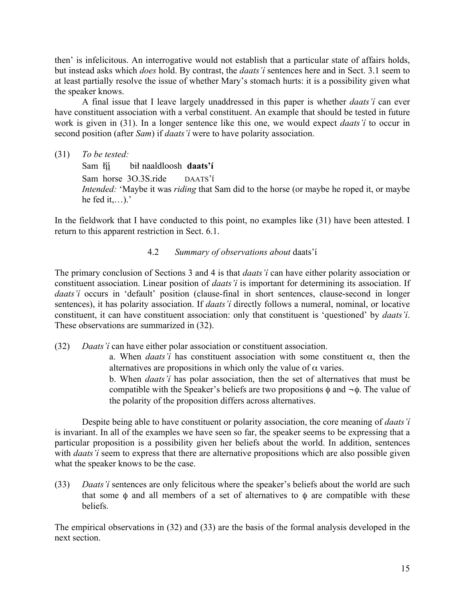then' is infelicitous. An interrogative would not establish that a particular state of affairs holds, but instead asks which *does* hold. By contrast, the *daats'í* sentences here and in Sect. 3.1 seem to at least partially resolve the issue of whether Mary's stomach hurts: it is a possibility given what the speaker knows.

A final issue that I leave largely unaddressed in this paper is whether *daats'í* can ever have constituent association with a verbal constituent. An example that should be tested in future work is given in (31). In a longer sentence like this one, we would expect *daats'í* to occur in second position (after *Sam*) if *daats'í* were to have polarity association.

(31) *To be tested:*

Sam łi**į** bił naaldloosh **daats'i** Sam horse 3O.3S.ride DAATS'Í *Intended:* 'Maybe it was *riding* that Sam did to the horse (or maybe he roped it, or maybe he fed it,...).'

In the fieldwork that I have conducted to this point, no examples like (31) have been attested. I return to this apparent restriction in Sect. 6.1.

# 4.2 *Summary of observations about* daats'í

The primary conclusion of Sections 3 and 4 is that *daats'í* can have either polarity association or constituent association. Linear position of *daats'í* is important for determining its association. If *daats'í* occurs in 'default' position (clause-final in short sentences, clause-second in longer sentences), it has polarity association. If *daats'í* directly follows a numeral, nominal, or locative constituent, it can have constituent association: only that constituent is 'questioned' by *daats'í*. These observations are summarized in (32).

(32) *Daats'í* can have either polar association or constituent association.

a. When *daats'í* has constituent association with some constituent α, then the alternatives are propositions in which only the value of  $\alpha$  varies.

b. When *daats'í* has polar association, then the set of alternatives that must be compatible with the Speaker's beliefs are two propositions  $\phi$  and  $\neg \phi$ . The value of the polarity of the proposition differs across alternatives.

Despite being able to have constituent or polarity association, the core meaning of *daats'í* is invariant. In all of the examples we have seen so far, the speaker seems to be expressing that a particular proposition is a possibility given her beliefs about the world. In addition, sentences with *daats'i* seem to express that there are alternative propositions which are also possible given what the speaker knows to be the case.

(33) *Daats'í* sentences are only felicitous where the speaker's beliefs about the world are such that some  $\phi$  and all members of a set of alternatives to  $\phi$  are compatible with these beliefs.

The empirical observations in (32) and (33) are the basis of the formal analysis developed in the next section.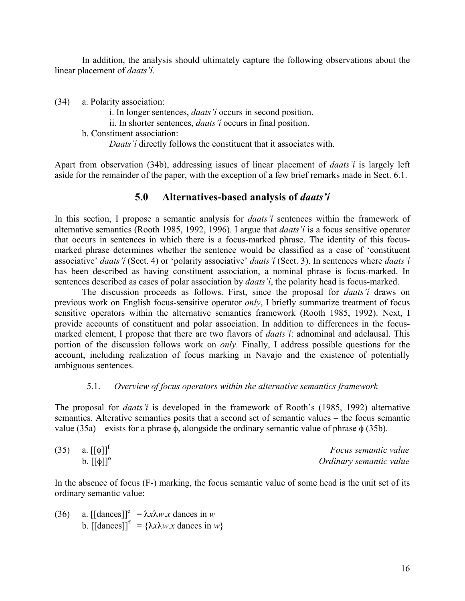In addition, the analysis should ultimately capture the following observations about the linear placement of *daats'í*.

- (34) a. Polarity association:
	- i. In longer sentences, *daats'í* occurs in second position.
	- ii. In shorter sentences, *daats'í* occurs in final position.

b. Constituent association:

*Daats'í* directly follows the constituent that it associates with.

Apart from observation (34b), addressing issues of linear placement of *daats'í* is largely left aside for the remainder of the paper, with the exception of a few brief remarks made in Sect. 6.1.

# **5.0 Alternatives-based analysis of** *daats'í*

In this section, I propose a semantic analysis for *daats'í* sentences within the framework of alternative semantics (Rooth 1985, 1992, 1996). I argue that *daats'í* is a focus sensitive operator that occurs in sentences in which there is a focus-marked phrase. The identity of this focusmarked phrase determines whether the sentence would be classified as a case of 'constituent associative' *daats'í* (Sect. 4) or 'polarity associative' *daats'í* (Sect. 3). In sentences where *daats'í* has been described as having constituent association, a nominal phrase is focus-marked. In sentences described as cases of polar association by *daats'í*, the polarity head is focus-marked.

The discussion proceeds as follows. First, since the proposal for *daats'í* draws on previous work on English focus-sensitive operator *only*, I briefly summarize treatment of focus sensitive operators within the alternative semantics framework (Rooth 1985, 1992). Next, I provide accounts of constituent and polar association. In addition to differences in the focusmarked element, I propose that there are two flavors of *daats'í*: adnominal and adclausal. This portion of the discussion follows work on *only*. Finally, I address possible questions for the account, including realization of focus marking in Navajo and the existence of potentially ambiguous sentences.

# 5.1. *Overview of focus operators within the alternative semantics framework*

The proposal for *daats'í* is developed in the framework of Rooth's (1985, 1992) alternative semantics. Alterative semantics posits that a second set of semantic values – the focus semantic value (35a) – exists for a phrase  $\phi$ , alongside the ordinary semantic value of phrase  $\phi$  (35b).

| (35) a. $[[\phi]]^f$                                         | <i>Focus semantic value</i> |
|--------------------------------------------------------------|-----------------------------|
| $\mathbf{b}$ . $\left[\left[\phi\right]\right]$ <sup>o</sup> | Ordinary semantic value     |

In the absence of focus (F-) marking, the focus semantic value of some head is the unit set of its ordinary semantic value:

(36) a.  $[[\text{dances}]]^{\circ} = \lambda x \lambda w \cdot x \text{ dances in } w$ b. [[dances]]<sup>f</sup> = { $\lambda x \lambda w.x$  dances in *w*}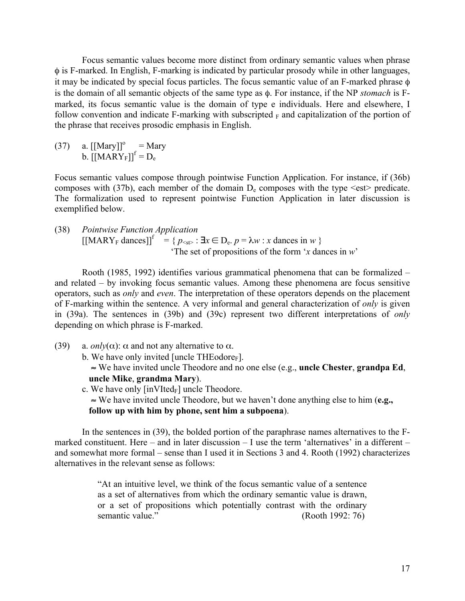Focus semantic values become more distinct from ordinary semantic values when phrase φ is F-marked. In English, F-marking is indicated by particular prosody while in other languages, it may be indicated by special focus particles. The focus semantic value of an F-marked phrase φ is the domain of all semantic objects of the same type as φ. For instance, if the NP *stomach* is Fmarked, its focus semantic value is the domain of type e individuals. Here and elsewhere, I follow convention and indicate F-marking with subscripted  $_F$  and capitalization of the portion of the phrase that receives prosodic emphasis in English.

 $(37)$  a.  $[[Mary]]^{\circ}$  = Mary b.  $[[\text{MARY}_F]]^f = D_e$ 

Focus semantic values compose through pointwise Function Application. For instance, if (36b) composes with (37b), each member of the domain  $D_e$  composes with the type  $\leq$ est $\geq$  predicate. The formalization used to represent pointwise Function Application in later discussion is exemplified below.

(38) *Pointwise Function Application*  $[[\text{MARY}_F \text{ dances}]]^f = \{ p_{\text{}}: \exists x \in D_e, p = \lambda w : x \text{ dances in } w \}$ 'The set of propositions of the form '*x* dances in *w*'

Rooth (1985, 1992) identifies various grammatical phenomena that can be formalized – and related – by invoking focus semantic values. Among these phenomena are focus sensitive operators, such as *only* and *even*. The interpretation of these operators depends on the placement of F-marking within the sentence. A very informal and general characterization of *only* is given in (39a). The sentences in (39b) and (39c) represent two different interpretations of *only* depending on which phrase is F-marked.

- (39) a. *only*( $\alpha$ ):  $\alpha$  and not any alternative to  $\alpha$ .
	- b. We have only invited  $[uncle THEodoreF]$ .

 ≈ We have invited uncle Theodore and no one else (e.g., **uncle Chester**, **grandpa Ed**, **uncle Mike**, **grandma Mary**).

c. We have only  $\lceil$  inVIted<sub>F</sub> $\rceil$  uncle Theodore.

 ≈ We have invited uncle Theodore, but we haven't done anything else to him (**e.g., follow up with him by phone, sent him a subpoena**).

In the sentences in (39), the bolded portion of the paraphrase names alternatives to the Fmarked constituent. Here – and in later discussion – I use the term 'alternatives' in a different – and somewhat more formal – sense than I used it in Sections 3 and 4. Rooth (1992) characterizes alternatives in the relevant sense as follows:

> "At an intuitive level, we think of the focus semantic value of a sentence as a set of alternatives from which the ordinary semantic value is drawn, or a set of propositions which potentially contrast with the ordinary semantic value." (Rooth 1992: 76)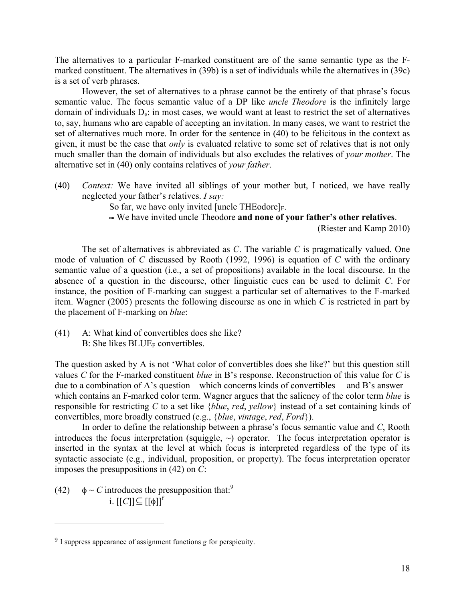The alternatives to a particular F-marked constituent are of the same semantic type as the Fmarked constituent. The alternatives in (39b) is a set of individuals while the alternatives in (39c) is a set of verb phrases.

However, the set of alternatives to a phrase cannot be the entirety of that phrase's focus semantic value. The focus semantic value of a DP like *uncle Theodore* is the infinitely large domain of individuals  $D_e$ : in most cases, we would want at least to restrict the set of alternatives to, say, humans who are capable of accepting an invitation. In many cases, we want to restrict the set of alternatives much more. In order for the sentence in (40) to be felicitous in the context as given, it must be the case that *only* is evaluated relative to some set of relatives that is not only much smaller than the domain of individuals but also excludes the relatives of *your mother*. The alternative set in (40) only contains relatives of *your father*.

(40) *Context:* We have invited all siblings of your mother but, I noticed, we have really neglected your father's relatives. *I say:*

So far, we have only invited [uncle THEodore] $_F$ .

≈ We have invited uncle Theodore **and none of your father's other relatives**.

(Riester and Kamp 2010)

The set of alternatives is abbreviated as *C*. The variable *C* is pragmatically valued. One mode of valuation of *C* discussed by Rooth (1992, 1996) is equation of *C* with the ordinary semantic value of a question (i.e., a set of propositions) available in the local discourse. In the absence of a question in the discourse, other linguistic cues can be used to delimit *C*. For instance, the position of F-marking can suggest a particular set of alternatives to the F-marked item. Wagner (2005) presents the following discourse as one in which *C* is restricted in part by the placement of F-marking on *blue*:

(41) A: What kind of convertibles does she like? B: She likes  $B LUE_F$  convertibles.

The question asked by A is not 'What color of convertibles does she like?' but this question still values *C* for the F-marked constituent *blue* in B's response. Reconstruction of this value for *C* is due to a combination of A's question – which concerns kinds of convertibles – and B's answer – which contains an F-marked color term. Wagner argues that the saliency of the color term *blue* is responsible for restricting *C* to a set like {*blue*, *red*, *yellow*} instead of a set containing kinds of convertibles, more broadly construed (e.g., {*blue*, *vintage*, *red*, *Ford*}).

In order to define the relationship between a phrase's focus semantic value and *C*, Rooth introduces the focus interpretation (squiggle,  $\sim$ ) operator. The focus interpretation operator is inserted in the syntax at the level at which focus is interpreted regardless of the type of its syntactic associate (e.g., individual, proposition, or property). The focus interpretation operator imposes the presuppositions in (42) on *C*:

(42)  $\phi \sim C$  introduces the presupposition that:<sup>9</sup> i.  $[[C]] \subseteq [[\phi]]^f$ 

!!!!!!!!!!!!!!!!!!!!!!!!!!!!!!!!!!!!!!!!!!!!!!!!!!!!!!!

<sup>9</sup> I suppress appearance of assignment functions *g* for perspicuity.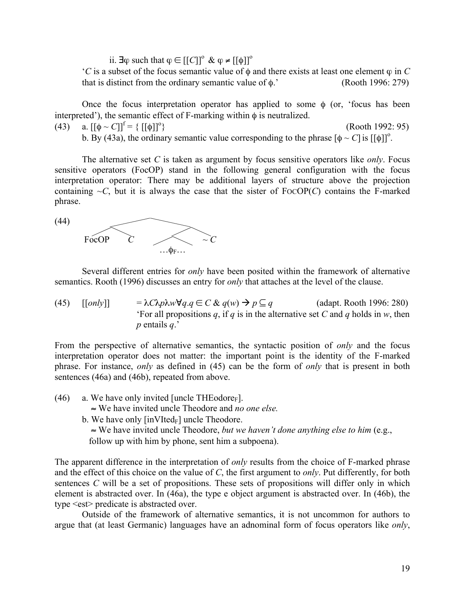ii.  $\exists \varphi$  such that  $\varphi \in [[C]]^{\circ} \& \varphi \neq [[\varphi]]^{\circ}$ 

<sup>*C*</sup> is a subset of the focus semantic value of  $\phi$  and there exists at least one element  $\phi$  in *C* that is distinct from the ordinary semantic value of φ.' (Rooth 1996: 279)

Once the focus interpretation operator has applied to some  $\phi$  (or, 'focus has been interpreted'), the semantic effect of F-marking within  $\phi$  is neutralized.

(43) a.  $[[\phi \sim C]]^f = \{ [[\phi]]^o$ 

} (Rooth 1992: 95)

b. By (43a), the ordinary semantic value corresponding to the phrase  $[\phi \sim C]$  is  $[[\phi]]^{\circ}$ .

The alternative set *C* is taken as argument by focus sensitive operators like *only*. Focus sensitive operators (FocOP) stand in the following general configuration with the focus interpretation operator: There may be additional layers of structure above the projection containing  $\sim$ C, but it is always the case that the sister of FocOP( $C$ ) contains the F-marked phrase.

(44)



Several different entries for *only* have been posited within the framework of alternative semantics. Rooth (1996) discusses an entry for *only* that attaches at the level of the clause.

(45)  $[[\text{only}]] = \lambda C \lambda p \lambda w \forall q, q \in C \& q(w) \rightarrow p \subseteq q$  (adapt. Rooth 1996: 280) 'For all propositions  $q$ , if  $q$  is in the alternative set  $C$  and  $q$  holds in  $w$ , then *p* entails *q*.'

From the perspective of alternative semantics, the syntactic position of *only* and the focus interpretation operator does not matter: the important point is the identity of the F-marked phrase. For instance, *only* as defined in (45) can be the form of *only* that is present in both sentences (46a) and (46b), repeated from above.

 $(46)$  a. We have only invited [uncle THEodore<sub>F</sub>].

≈ We have invited uncle Theodore and *no one else.*

b. We have only  $\lceil$  inVIted $_F$ ] uncle Theodore.

 ≈ We have invited uncle Theodore, *but we haven't done anything else to him* (e.g., follow up with him by phone, sent him a subpoena).

The apparent difference in the interpretation of *only* results from the choice of F-marked phrase and the effect of this choice on the value of *C*, the first argument to *only*. Put differently, for both sentences *C* will be a set of propositions. These sets of propositions will differ only in which element is abstracted over. In (46a), the type e object argument is abstracted over. In (46b), the type <est> predicate is abstracted over.

Outside of the framework of alternative semantics, it is not uncommon for authors to argue that (at least Germanic) languages have an adnominal form of focus operators like *only*,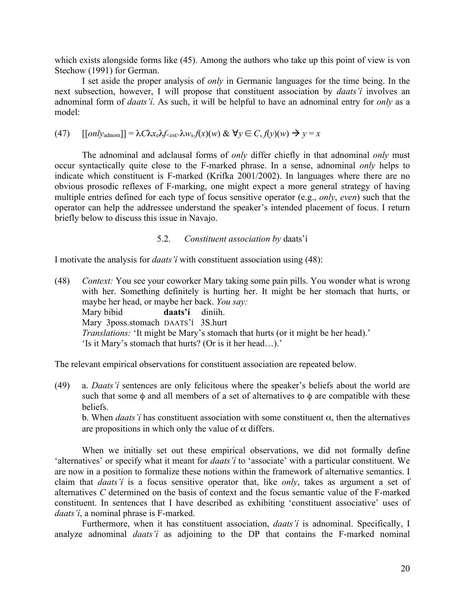which exists alongside forms like (45). Among the authors who take up this point of view is von Stechow (1991) for German.

I set aside the proper analysis of *only* in Germanic languages for the time being. In the next subsection, however, I will propose that constituent association by *daats'í* involves an adnominal form of *daats'í*. As such, it will be helpful to have an adnominal entry for *only* as a model:

(47) 
$$
[[only_{\text{adnom}}]] = \lambda C \lambda x_{e} \lambda f_{\text{est}} \lambda w_{s} f(x)(w) \& \forall y \in C, f(y)(w) \rightarrow y = x
$$

The adnominal and adclausal forms of *only* differ chiefly in that adnominal *only* must occur syntactically quite close to the F-marked phrase. In a sense, adnominal *only* helps to indicate which constituent is F-marked (Krifka 2001/2002). In languages where there are no obvious prosodic reflexes of F-marking, one might expect a more general strategy of having multiple entries defined for each type of focus sensitive operator (e.g., *only*, *even*) such that the operator can help the addressee understand the speaker's intended placement of focus. I return briefly below to discuss this issue in Navajo.

## 5.2. *Constituent association by* daats'í

I motivate the analysis for *daats'í* with constituent association using (48):

(48) *Context:* You see your coworker Mary taking some pain pills. You wonder what is wrong with her. Something definitely is hurting her. It might be her stomach that hurts, or maybe her head, or maybe her back. *You say:* Mary bibid **daats'í** diniih. Mary 3poss.stomach DAATS'Í 3S.hurt *Translations:* 'It might be Mary's stomach that hurts (or it might be her head).' 'Is it Mary's stomach that hurts? (Or is it her head…).'

The relevant empirical observations for constituent association are repeated below.

(49) a. *Daats'í* sentences are only felicitous where the speaker's beliefs about the world are such that some  $\phi$  and all members of a set of alternatives to  $\phi$  are compatible with these beliefs.

b. When *daats'i* has constituent association with some constituent  $\alpha$ , then the alternatives are propositions in which only the value of  $\alpha$  differs.

When we initially set out these empirical observations, we did not formally define 'alternatives' or specify what it meant for *daats'í* to 'associate' with a particular constituent. We are now in a position to formalize these notions within the framework of alternative semantics. I claim that *daats'í* is a focus sensitive operator that, like *only*, takes as argument a set of alternatives *C* determined on the basis of context and the focus semantic value of the F-marked constituent. In sentences that I have described as exhibiting 'constituent associative' uses of *daats'í*, a nominal phrase is F-marked.

Furthermore, when it has constituent association, *daats'í* is adnominal. Specifically, I analyze adnominal *daats'í* as adjoining to the DP that contains the F-marked nominal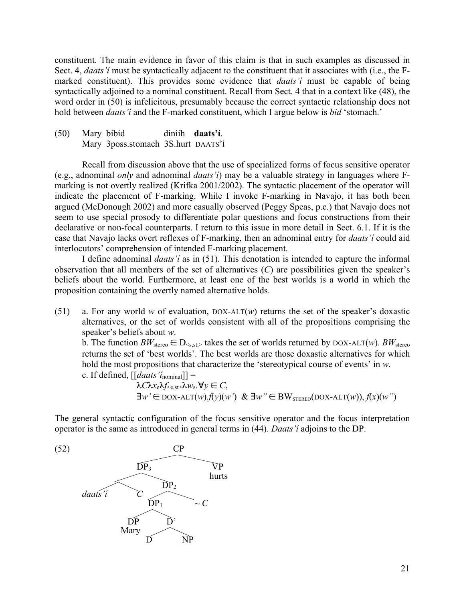constituent. The main evidence in favor of this claim is that in such examples as discussed in Sect. 4, *daats'í* must be syntactically adjacent to the constituent that it associates with (i.e., the Fmarked constituent). This provides some evidence that *daats'í* must be capable of being syntactically adjoined to a nominal constituent. Recall from Sect. 4 that in a context like (48), the word order in (50) is infelicitous, presumably because the correct syntactic relationship does not hold between *daats'í* and the F-marked constituent, which I argue below is *bid* 'stomach.'

(50) Mary bibid diniih **daats'í**. Mary 3poss.stomach 3S.hurt DAATS'Í

Recall from discussion above that the use of specialized forms of focus sensitive operator (e.g., adnominal *only* and adnominal *daats'í*) may be a valuable strategy in languages where Fmarking is not overtly realized (Krifka 2001/2002). The syntactic placement of the operator will indicate the placement of F-marking. While I invoke F-marking in Navajo, it has both been argued (McDonough 2002) and more casually observed (Peggy Speas, p.c.) that Navajo does not seem to use special prosody to differentiate polar questions and focus constructions from their declarative or non-focal counterparts. I return to this issue in more detail in Sect. 6.1. If it is the case that Navajo lacks overt reflexes of F-marking, then an adnominal entry for *daats'í* could aid interlocutors' comprehension of intended F-marking placement.

I define adnominal *daats'í* as in (51). This denotation is intended to capture the informal observation that all members of the set of alternatives (*C*) are possibilities given the speaker's beliefs about the world. Furthermore, at least one of the best worlds is a world in which the proposition containing the overtly named alternative holds.

(51) a. For any world *w* of evaluation, DOX-ALT(*w*) returns the set of the speaker's doxastic alternatives, or the set of worlds consistent with all of the propositions comprising the speaker's beliefs about *w*.

b. The function  $BW_{\text{stereo}} \in D_{\leq s, st>}$  takes the set of worlds returned by DOX-ALT(*w*).  $BW_{\text{stereo}}$ returns the set of 'best worlds'. The best worlds are those doxastic alternatives for which hold the most propositions that characterize the 'stereotypical course of events' in *w*. c. If defined,  $\left[$ *[daats'* $i$ <sub>nominal</sub>]] =

λ*C*λ*x*eλ*f*<e,st>λ*w*s.∀*y* ∈ *C*,  $∃w' ∈$  DOX-ALT(*w*), $f(y)(w')$  & ∃*w*" ∈ BW<sub>STEREO</sub>(DOX-ALT(*w*)), $f(x)(w'')$ 

The general syntactic configuration of the focus sensitive operator and the focus interpretation operator is the same as introduced in general terms in (44). *Daats'í* adjoins to the DP.

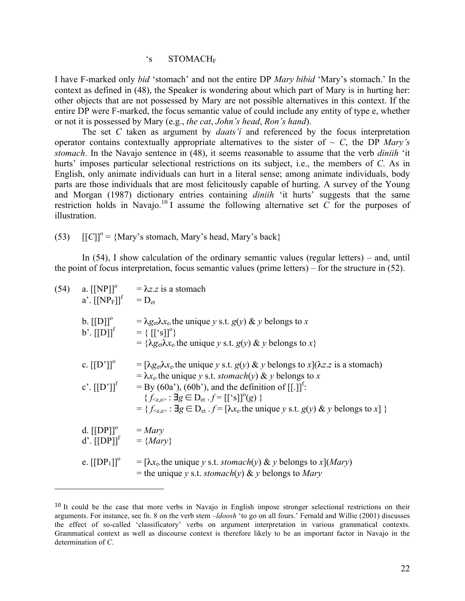### 's STOMACH<sub>F</sub>

I have F-marked only *bid* 'stomach' and not the entire DP *Mary bibid* 'Mary's stomach.' In the context as defined in (48), the Speaker is wondering about which part of Mary is in hurting her: other objects that are not possessed by Mary are not possible alternatives in this context. If the entire DP were F-marked, the focus semantic value of could include any entity of type e, whether or not it is possessed by Mary (e.g., *the cat*, *John's head*, *Ron's hand*).

The set *C* taken as argument by *daats'í* and referenced by the focus interpretation operator contains contextually appropriate alternatives to the sister of  $\sim C$ , the DP Mary's *stomach*. In the Navajo sentence in (48), it seems reasonable to assume that the verb *diniih* 'it hurts' imposes particular selectional restrictions on its subject, i.e., the members of *C*. As in English, only animate individuals can hurt in a literal sense; among animate individuals, body parts are those individuals that are most felicitously capable of hurting. A survey of the Young and Morgan (1987) dictionary entries containing *diniih* 'it hurts' suggests that the same restriction holds in Navajo.<sup>10</sup> I assume the following alternative set  $\tilde{C}$  for the purposes of illustration.

(53)  $[[C]]^{\circ} = \{Mary's stomach, Mary's head, Mary's back\}$ 

!!!!!!!!!!!!!!!!!!!!!!!!!!!!!!!!!!!!!!!!!!!!!!!!!!!!!!!

In (54), I show calculation of the ordinary semantic values (regular letters) – and, until the point of focus interpretation, focus semantic values (prime letters) – for the structure in (52).

| (54) | a. $\left[\text{NPI}\right]$ <sup>o</sup><br>a'. $[NP_F]$ <sup>f</sup> = D <sub>et</sub> | $=\lambda z \cdot z$ is a stomach                                                                                                                                                                                                                                                                                                                                                                                                                  |
|------|------------------------------------------------------------------------------------------|----------------------------------------------------------------------------------------------------------------------------------------------------------------------------------------------------------------------------------------------------------------------------------------------------------------------------------------------------------------------------------------------------------------------------------------------------|
|      | $b.$ [[D]] <sup>o</sup><br>$b'.$ [[D]] <sup>f</sup>                                      | $= \lambda g_{\text{et}} \lambda x_{\text{e}}$ , the unique y s.t. $g(y)$ & y belongs to x<br>$= \{ [f's]]^{\circ} \}$<br>= { $\lambda g_{\text{et}}\lambda x_{\text{e}}$ the unique y s.t. $g(y)$ & y belongs to x}                                                                                                                                                                                                                               |
|      | c. $[[D']]^\circ$<br>c'. $[[D']]^{f}$                                                    | $= [\lambda g_{\rm et} \lambda x_{\rm e}$ the unique y s.t. $g(y)$ & y belongs to x $](\lambda z. z$ is a stomach)<br>$= \lambda x_e$ the unique y s.t. stomach(y) & y belongs to x<br>$=$ By (60a'), (60b'), and the definition of [[.]] <sup>f</sup> :<br>${f_{\leq e,e}}$ : $\exists g \in D_{et}$ . $f = [[s]]^{\circ}(g)$<br>$= \{f_{\leq e,e}: \exists g \in D_{et} \cdot f = [\lambda x_e]$ the unique y s.t. $g(y) \& y$ belongs to x $\}$ |
|      | d. $[[DP]]^{\circ}$ = Mary<br>d'. [[DP]] <sup>f</sup> = { <i>Mary</i> }                  |                                                                                                                                                                                                                                                                                                                                                                                                                                                    |
|      | e. $[ [DP_1]]^{\circ}$                                                                   | = [ $\lambda x_e$ the unique y s.t. <i>stomach</i> (y) & y belongs to x]( <i>Mary</i> )<br>= the unique y s.t. stomach(y) & y belongs to Mary                                                                                                                                                                                                                                                                                                      |

<sup>10</sup> It could be the case that more verbs in Navajo in English impose stronger selectional restrictions on their arguments. For instance, see fn. 8 on the verb stem *–ldoosh* 'to go on all fours.' Fernald and Willie (2001) discusses the effect of so-called 'classificatory' verbs on argument interpretation in various grammatical contexts. Grammatical context as well as discourse context is therefore likely to be an important factor in Navajo in the determination of *C*.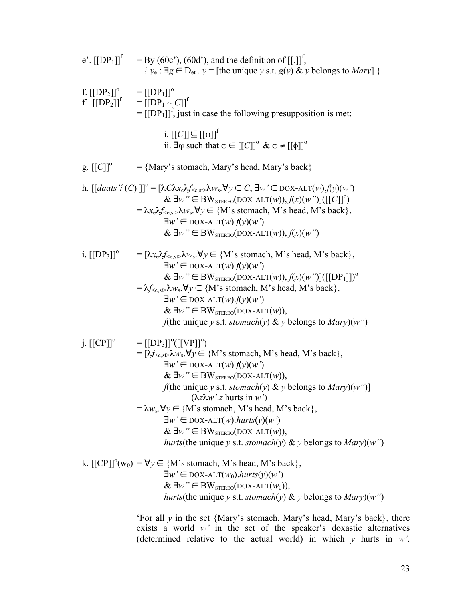|                       | e'. $[[DP_1]]^f = By (60c')$ , (60d'), and the definition of $[[.]]^f$ ,<br>$\{y_e : \exists g \in D_{et} \cdot y = [\text{the unique } y \text{ s.t. } g(y) \& y \text{ belongs to } Mary] \}$                                                                                                                                                                                                                                                                                                                                                                                                                                                                          |  |  |  |
|-----------------------|--------------------------------------------------------------------------------------------------------------------------------------------------------------------------------------------------------------------------------------------------------------------------------------------------------------------------------------------------------------------------------------------------------------------------------------------------------------------------------------------------------------------------------------------------------------------------------------------------------------------------------------------------------------------------|--|--|--|
|                       | f. $[[DP_2]]^{\circ}$ = $[[DP_1]]^{\circ}$<br>f'. $[[DP_2]]^{\circ}$ = $[[DP_1 \sim C]]^{\circ}$<br>$=[[DP1]]t$ , just in case the following presupposition is met:                                                                                                                                                                                                                                                                                                                                                                                                                                                                                                      |  |  |  |
|                       | i. $[[C]] \subseteq [[\phi]]^{\dagger}$<br>ii. $\exists \varphi$ such that $\varphi \in [[C]]^{\circ} \& \varphi \neq [[\varphi]]^{\circ}$                                                                                                                                                                                                                                                                                                                                                                                                                                                                                                                               |  |  |  |
| $g. [[C]]^{\circ}$    | $=$ {Mary's stomach, Mary's head, Mary's back}                                                                                                                                                                                                                                                                                                                                                                                                                                                                                                                                                                                                                           |  |  |  |
|                       | h. [[daats'i'(C)]] <sup>o</sup> = [ $\lambda C \lambda x_e \lambda f_{\text{c},st} \lambda w_s$ . $\forall y \in C$ , $\exists w' \in \text{DOX-ALT}(w) f(y)(w')$<br>& $\exists w'' \in BW_{\text{STEREO}}(DOX-ALT(w)), f(x)(w'')[([C]]^0)$<br>$=\lambda x_e \lambda f_{\text{c},\text{st}}\lambda w_s$ . $\forall y \in \{M\text{'s stomach, } M\text{'s head, } M\text{'s back}\},$<br>$\exists w' \in$ DOX-ALT $(w)$ . $f(y)(w')$<br>& $\exists w \in BW_{\text{STEREO}}(\text{DOX-ALT}(w)), f(x)(w'')$                                                                                                                                                               |  |  |  |
| i. $[[DP_3]]^{\circ}$ | = $[\lambda x_e \lambda f_{\langle e, st \rangle} \lambda w_s. \forall y \in \{M\text{'s stomach, } M\text{'s head, } M\text{'s back}\},$<br>$\exists w' \in$ DOX-ALT $(w)$ , $f(y)(w')$<br>& $\exists w'' \in BW_{STEREO}(DOX-ALT(w)), f(x)(w'')]([[DP_1]])^{\circ}$<br>$=\lambda f_{\leq e, st} \lambda w_s. \forall y \in \{M\text{'s stomach, } M\text{'s head, } M\text{'s back}\},$<br>$\exists w' \in$ DOX-ALT $(w)$ , $f(y)(w')$<br>& $\exists w'' \in BW_{STEREO}(DOX-ALT(w)),$<br>f(the unique y s.t. stomach(y) & y belongs to Mary)(w")                                                                                                                      |  |  |  |
|                       | j. $[[CP]]^{\circ} = [[DP_3]]^{\circ}([[VP]]^{\circ})$<br>= $[\lambda f_{\text{c},\text{st}}\lambda w_{\text{s}}.\forall y \in \{M\text{'s stomach}, M\text{'s head}, M\text{'s back}\},$<br>$\exists w' \in$ DOX-ALT $(w)$ , $f(y)(w')$<br>& $\exists w'' \in BW_{STEREO}(DOX-ALT(w)),$<br>f(the unique y s.t. stomach(y) & y belongs to Mary)(w")]<br>$(\lambda z \lambda w' \cdot z$ hurts in w')<br>$=\lambda w_s$ . $\forall y \in \{M\text{'s stomach, } M\text{'s head, } M\text{'s back}\},$<br>$\exists w' \in$ DOX-ALT(w).hurts(y)(w')<br>$& \exists w \text{ ''} \in BW_{STEREO}(DOX-ALT(w)),$<br>hurts(the unique y s.t. stomach(y) & y belongs to Mary)(w") |  |  |  |
|                       | k. $[ [CP]]^{\circ}(w_0) = \forall y \in \{M \text{'s stomach}, M \text{'s head}, M \text{'s back}\},$<br>$\exists w' \in$ DOX-ALT $(w_0)$ .hurts $(y)(w')$<br>$& \exists w \text{ ''} \in BW_{\text{STEREO}}(DOX-ALT(w_0)),$<br><i>hurts</i> (the unique y s.t. <i>stomach</i> (y) & y belongs to <i>Mary</i> )(w")                                                                                                                                                                                                                                                                                                                                                     |  |  |  |
|                       | 'For all y in the set {Mary's stomach, Mary's head, Mary's back}, there                                                                                                                                                                                                                                                                                                                                                                                                                                                                                                                                                                                                  |  |  |  |

exists a world *w'* in the set of the speaker's doxastic alternatives (determined relative to the actual world) in which *y* hurts in *w'*.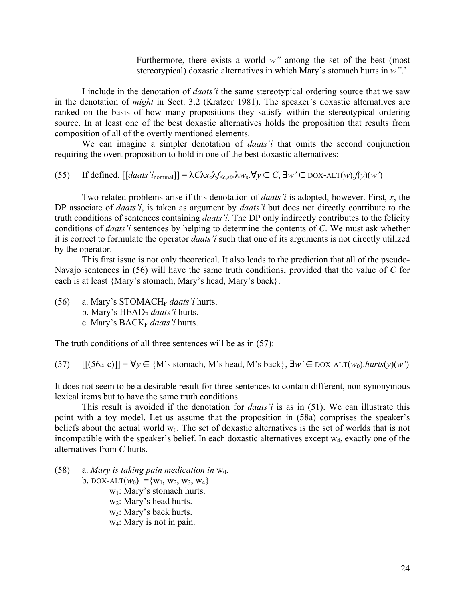Furthermore, there exists a world *w"* among the set of the best (most stereotypical) doxastic alternatives in which Mary's stomach hurts in *w"*.'

I include in the denotation of *daats'í* the same stereotypical ordering source that we saw in the denotation of *might* in Sect. 3.2 (Kratzer 1981). The speaker's doxastic alternatives are ranked on the basis of how many propositions they satisfy within the stereotypical ordering source. In at least one of the best doxastic alternatives holds the proposition that results from composition of all of the overtly mentioned elements.

We can imagine a simpler denotation of *daats'í* that omits the second conjunction requiring the overt proposition to hold in one of the best doxastic alternatives:

(55) If defined,  $\left[\frac{d}{d\alpha} s'_{\text{nominal}}\right] = \lambda C \lambda x_e \lambda f_{\text{c}} s} \lambda w_s. \forall y \in C, \exists w' \in \text{DOX-ALT}(w) \cdot f(y)(w')$ 

Two related problems arise if this denotation of *daats'í* is adopted, however. First, *x*, the DP associate of *daats'í*, is taken as argument by *daats'í* but does not directly contribute to the truth conditions of sentences containing *daats'í*. The DP only indirectly contributes to the felicity conditions of *daats'í* sentences by helping to determine the contents of *C*. We must ask whether it is correct to formulate the operator *daats'í* such that one of its arguments is not directly utilized by the operator.

This first issue is not only theoretical. It also leads to the prediction that all of the pseudo-Navajo sentences in (56) will have the same truth conditions, provided that the value of *C* for each is at least {Mary's stomach, Mary's head, Mary's back}.

(56) a. Mary's STOMACHF *daats'í* hurts. b. Mary's HEAD<sub>F</sub> *daats'i* hurts. c. Mary's BACK<sub>F</sub> daats'i hurts.

The truth conditions of all three sentences will be as in (57):

(57) [[(56a-c)]] = ∀*y* ∈ {M's stomach, M's head, M's back}, ∃*w'* ∈ DOX-ALT(*w*0).*hurts*(*y*)(*w'*)

It does not seem to be a desirable result for three sentences to contain different, non-synonymous lexical items but to have the same truth conditions.

This result is avoided if the denotation for *daats'í* is as in (51). We can illustrate this point with a toy model. Let us assume that the proposition in (58a) comprises the speaker's beliefs about the actual world  $w_0$ . The set of doxastic alternatives is the set of worlds that is not incompatible with the speaker's belief. In each doxastic alternatives except  $w_4$ , exactly one of the alternatives from *C* hurts.

 $(58)$  a. *Mary is taking pain medication in*  $w_0$ . b. DOX-ALT $(w_0) = \{w_1, w_2, w_3, w_4\}$ w<sub>1</sub>: Mary's stomach hurts. w<sub>2</sub>: Mary's head hurts. w3: Mary's back hurts. w4: Mary is not in pain.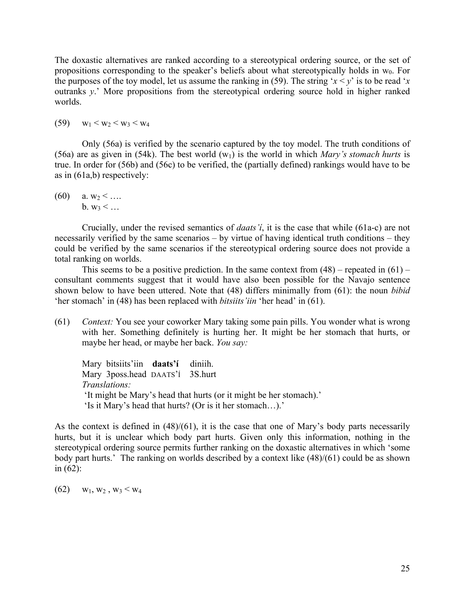The doxastic alternatives are ranked according to a stereotypical ordering source, or the set of propositions corresponding to the speaker's beliefs about what stereotypically holds in  $w_0$ . For the purposes of the toy model, let us assume the ranking in (59). The string ' $x < y$ ' is to be read '*x* outranks *y*.' More propositions from the stereotypical ordering source hold in higher ranked worlds.

(59)  $w_1 < w_2 < w_3 < w_4$ 

Only (56a) is verified by the scenario captured by the toy model. The truth conditions of (56a) are as given in (54k). The best world  $(w_1)$  is the world in which *Mary's stomach hurts* is true. In order for (56b) and (56c) to be verified, the (partially defined) rankings would have to be as in (61a,b) respectively:

(60) a.  $w_2$  < ...  $b. w_3 < ...$ 

Crucially, under the revised semantics of *daats'í*, it is the case that while (61a-c) are not necessarily verified by the same scenarios – by virtue of having identical truth conditions – they could be verified by the same scenarios if the stereotypical ordering source does not provide a total ranking on worlds.

This seems to be a positive prediction. In the same context from  $(48)$  – repeated in  $(61)$  – consultant comments suggest that it would have also been possible for the Navajo sentence shown below to have been uttered. Note that (48) differs minimally from (61): the noun *bibid*  'her stomach' in (48) has been replaced with *bitsiits'iin* 'her head' in (61).

(61) *Context:* You see your coworker Mary taking some pain pills. You wonder what is wrong with her. Something definitely is hurting her. It might be her stomach that hurts, or maybe her head, or maybe her back. *You say:*

Mary bitsiits'iin **daats'í** diniih. Mary 3poss.head DAATS'Í 3S.hurt *Translations:* 'It might be Mary's head that hurts (or it might be her stomach).' 'Is it Mary's head that hurts? (Or is it her stomach…).'

As the context is defined in (48)/(61), it is the case that one of Mary's body parts necessarily hurts, but it is unclear which body part hurts. Given only this information, nothing in the stereotypical ordering source permits further ranking on the doxastic alternatives in which 'some body part hurts.' The ranking on worlds described by a context like (48)/(61) could be as shown in (62):

 $(62)$   $W_1, W_2, W_3 \leq W_4$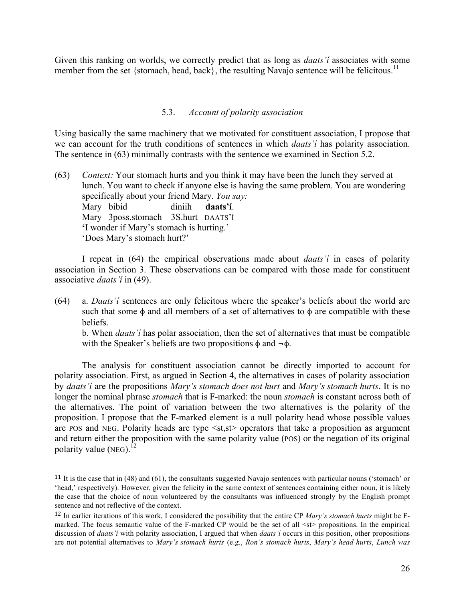Given this ranking on worlds, we correctly predict that as long as *daats'í* associates with some member from the set {stomach, head, back}, the resulting Navajo sentence will be felicitous.<sup>11</sup>

## 5.3. *Account of polarity association*

Using basically the same machinery that we motivated for constituent association, I propose that we can account for the truth conditions of sentences in which *daats'í* has polarity association. The sentence in (63) minimally contrasts with the sentence we examined in Section 5.2.

(63) *Context:* Your stomach hurts and you think it may have been the lunch they served at lunch. You want to check if anyone else is having the same problem. You are wondering specifically about your friend Mary. *You say:* Mary bibid diniih **daats'í**. Mary 3poss.stomach 3S.hurt DAATS'Í **'**I wonder if Mary's stomach is hurting.' 'Does Mary's stomach hurt?'

I repeat in (64) the empirical observations made about *daats'í* in cases of polarity association in Section 3. These observations can be compared with those made for constituent associative *daats'í* in (49).

(64) a. *Daats'í* sentences are only felicitous where the speaker's beliefs about the world are such that some  $\phi$  and all members of a set of alternatives to  $\phi$  are compatible with these beliefs.

b. When *daats'í* has polar association, then the set of alternatives that must be compatible with the Speaker's beliefs are two propositions  $\phi$  and  $\neg \phi$ .

The analysis for constituent association cannot be directly imported to account for polarity association. First, as argued in Section 4, the alternatives in cases of polarity association by *daats'í* are the propositions *Mary's stomach does not hurt* and *Mary's stomach hurts*. It is no longer the nominal phrase *stomach* that is F-marked: the noun *stomach* is constant across both of the alternatives. The point of variation between the two alternatives is the polarity of the proposition. I propose that the F-marked element is a null polarity head whose possible values are POS and NEG. Polarity heads are type <st,st> operators that take a proposition as argument and return either the proposition with the same polarity value (POS) or the negation of its original polarity value (NEG). $^{12}$ 

!!!!!!!!!!!!!!!!!!!!!!!!!!!!!!!!!!!!!!!!!!!!!!!!!!!!!!!

<sup>&</sup>lt;sup>11</sup> It is the case that in (48) and (61), the consultants suggested Navajo sentences with particular nouns ('stomach' or 'head,' respectively). However, given the felicity in the same context of sentences containing either noun, it is likely the case that the choice of noun volunteered by the consultants was influenced strongly by the English prompt sentence and not reflective of the context.

<sup>12</sup> In earlier iterations of this work, I considered the possibility that the entire CP *Mary's stomach hurts* might be Fmarked. The focus semantic value of the F-marked CP would be the set of all  $\leq$ st propositions. In the empirical discussion of *daats'í* with polarity association, I argued that when *daats'í* occurs in this position, other propositions are not potential alternatives to *Mary's stomach hurts* (e.g., *Ron's stomach hurts*, *Mary's head hurts*, *Lunch was*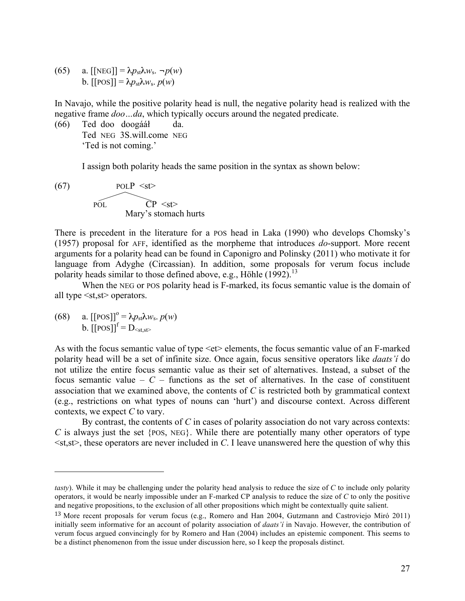(65) a.  $[{\text{NEG}}] = \lambda p_{\text{st}} \lambda w_{\text{s}}$ .  $\neg p(w)$ b.  $[$ [POS]] =  $\lambda p_{\text{st}} \lambda w_{\text{s}}$ .  $p(w)$ 

In Navajo, while the positive polarity head is null, the negative polarity head is realized with the negative frame *doo…da*, which typically occurs around the negated predicate.

(66) Ted doo doogááł da. Ted NEG 3S.will.come NEG 'Ted is not coming.'

I assign both polarity heads the same position in the syntax as shown below:

 $(67)$  POLP  $\leq$ st>  $P\tilde{O}L$  $\overline{CP} \leq st$ Mary's stomach hurts

There is precedent in the literature for a POS head in Laka (1990) who develops Chomsky's (1957) proposal for AFF, identified as the morpheme that introduces *do*-support. More recent arguments for a polarity head can be found in Caponigro and Polinsky (2011) who motivate it for language from Adyghe (Circassian). In addition, some proposals for verum focus include polarity heads similar to those defined above, e.g., Höhle (1992).<sup>13</sup>

When the NEG or POS polarity head is F-marked, its focus semantic value is the domain of all type <st,st> operators.

(68) a.  $[[POS]]^{\circ} = \lambda p_{st} \lambda w_s. p(w)$ b.  $[[pos]]^f = D_{\leq st, st>}$ 

!!!!!!!!!!!!!!!!!!!!!!!!!!!!!!!!!!!!!!!!!!!!!!!!!!!!!!!

As with the focus semantic value of type <et> elements, the focus semantic value of an F-marked polarity head will be a set of infinite size. Once again, focus sensitive operators like *daats'í* do not utilize the entire focus semantic value as their set of alternatives. Instead, a subset of the focus semantic value  $-C$  – functions as the set of alternatives. In the case of constituent association that we examined above, the contents of *C* is restricted both by grammatical context (e.g., restrictions on what types of nouns can 'hurt') and discourse context. Across different contexts, we expect *C* to vary.

By contrast, the contents of *C* in cases of polarity association do not vary across contexts: *C* is always just the set {POS, NEG}. While there are potentially many other operators of type  $\leq$ st, st $\geq$ , these operators are never included in *C*. I leave unanswered here the question of why this

*tasty*). While it may be challenging under the polarity head analysis to reduce the size of *C* to include only polarity operators, it would be nearly impossible under an F-marked CP analysis to reduce the size of *C* to only the positive and negative propositions, to the exclusion of all other propositions which might be contextually quite salient.

<sup>13</sup> More recent proposals for verum focus (e.g., Romero and Han 2004, Gutzmann and Castroviejo Miró 2011) initially seem informative for an account of polarity association of *daats'í* in Navajo. However, the contribution of verum focus argued convincingly for by Romero and Han (2004) includes an epistemic component. This seems to be a distinct phenomenon from the issue under discussion here, so I keep the proposals distinct.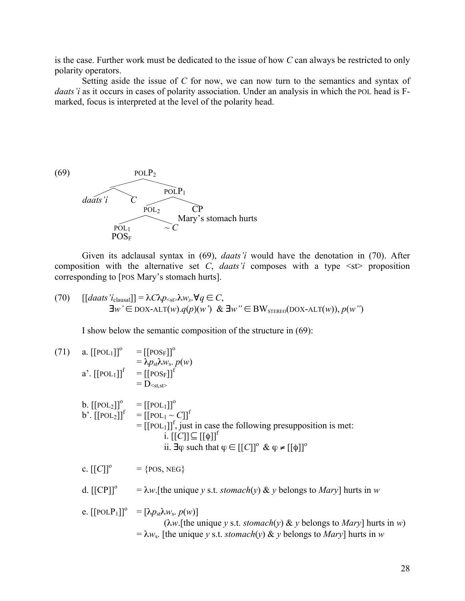is the case. Further work must be dedicated to the issue of how *C* can always be restricted to only polarity operators.

Setting aside the issue of *C* for now, we can now turn to the semantics and syntax of *daats'í* as it occurs in cases of polarity association. Under an analysis in which the POL head is Fmarked, focus is interpreted at the level of the polarity head.

(69)  
\n
$$
\text{back } i
$$
  
\n $\text{POLP}_1$   
\n $\text{POL}_2$   
\n $\text{POL}_1$   
\n $\text{POL}_1$   
\n $\text{POL}_1$   
\n $\text{POL}_2$   
\n $\text{Mary's stomach hurts}$   
\n $\text{POS}_F$ 

Given its adclausal syntax in (69), *daats'í* would have the denotation in (70). After composition with the alternative set  $C$ , *daats'i* composes with a type  $\leq$ st> proposition corresponding to [POS Mary's stomach hurts].

(70) 
$$
[[dasts' i_{\text{classal}}]] = \lambda C \lambda p_{\text{  
\n
$$
\exists w' \in \text{DOX-ALT}(w).q(p)(w') \& \exists w'' \in \text{BW}_{\text{stRE}}(\text{DOX-ALT}(w)), p(w'')
$$
$$

I show below the semantic composition of the structure in (69):

(71) a. 
$$
[[POL_1]]^{\circ} = [[POS_F]]^{\circ}
$$
  
\n
$$
= \lambda p_{st}\lambda w_s. p(w)
$$
  
\na'. 
$$
[[POL_1]]^{\circ} = [[POS_F]]^{\circ}
$$
  
\n
$$
= D_{}
$$
  
\nb. 
$$
[[POL_2]]^{\circ} = [[POL_1]]^{\circ}
$$
  
\nb'. 
$$
[[POL_2]]^{\circ} = [[POL_1]^{\circ}
$$
  
\n
$$
= [[POL_1]]^{\circ}, just in case the following presupposition is met:\ni. 
$$
[[C]] \subseteq [[\phi]]^{\circ}
$$
  
\n
$$
= \{POS, NEG\}
$$
  
\nc. 
$$
[[C]]^{\circ} = \{pos, NEG\}
$$
  
\nd. 
$$
[[CP]]^{\circ} = \lambda w.[the unique y s.t. stomach(y) & y belongs to Mary] hurts in w\ne. 
$$
[[POLP_1]]^{\circ} = [\lambda p_{st}\lambda w_s. p(w)]
$$
  
\n
$$
(\lambda w.[the unique y s.t. stomach(y) & y belongs to Mary] hurts in w\n
$$
= \lambda w_s.[the unique y s.t. stomach(y) & y belongs to Mary] hurts in w
$$
$$
$$
$$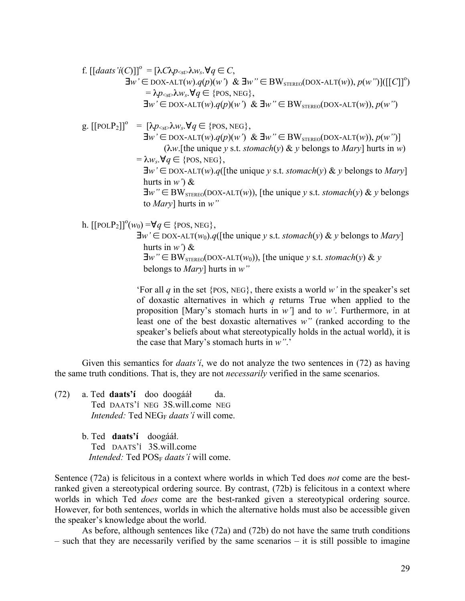f.  $[[daats'i(C)]]^{\circ} = [\lambda C \lambda p_{\leq s} \lambda w_s. \forall q \in C,$  $\exists w' \in \text{DOX-ALT}(w).q(p)(w')$  &  $\exists w'' \in \text{BW}_{\text{STEREO}}(\text{DOX-ALT}(w)), p(w'')]([[C]]^{\circ})$  $= \lambda p_{\text{. $\forall q \in \{\text{POS}, \text{NEG}\},\$$  $\exists w' \in$  DOX-ALT(*w*).*q*(*p*)(*w'*) &  $\exists w'' \in BW_{\text{STEREO}}(DOX-ALT(w))$ , *p*(*w''*)  $g.$   $[[POLP_2]]^{\circ} = [\lambda p_{\leq s} \lambda w_s \forall q \in \{pos, NEG\},\$  $\exists w' \in$  DOX-ALT(*w*).*q*(*p*)(*w'*) &  $\exists w'' \in BW_{\text{STEREO}}(\text{DOX-ALT}(w)), p(w'')$ ] ( $\lambda w$ . [the unique *y* s.t. *stomach*(*y*) & *y* belongs to *Mary*] hurts in *w*)  $= \lambda w_s$ ,  $\forall q \in \{pos, NEG\}$ , ∃*w'* ∈ DOX-ALT(*w*).*q*([the unique *y* s.t. *stomach*(*y*) & *y* belongs to *Mary*] hurts in  $w'$ ) &  $\exists w'' \in BW_{STEREO}(DOX-ALT(w))$ , [the unique *y* s.t. *stomach*(*y*) & *y* belongs to *Mary*] hurts in *w"* h.  $[[\text{POLP}_2]]^0(w_0) = \forall q \in \{\text{pos}, \text{NEG}\},\$ ∃*w'* ∈ DOX-ALT(*w*0).*q*([the unique *y* s.t. *stomach*(*y*) & *y* belongs to *Mary*] hurts in  $w'$ ) &  $\exists w'' \in BW_{\text{STEREO}}(\text{DOX-ALT}(w_0))$ , [the unique *y* s.t. *stomach*(*y*) & *y* 

belongs to *Mary*] hurts in *w"*

'For all *q* in the set {POS, NEG}, there exists a world *w'* in the speaker's set of doxastic alternatives in which *q* returns True when applied to the proposition [Mary's stomach hurts in *w'*] and to *w'*. Furthermore, in at least one of the best doxastic alternatives *w"* (ranked according to the speaker's beliefs about what stereotypically holds in the actual world), it is the case that Mary's stomach hurts in *w"*.'

Given this semantics for *daats'í*, we do not analyze the two sentences in (72) as having the same truth conditions. That is, they are not *necessarily* verified in the same scenarios.

- (72) a. Ted **daats'í** doo doogááł da. Ted DAATS'Í NEG 3S.will.come NEG *Intended:* Ted NEG<sub>F</sub> *daats'i* will come.
	- b. Ted **daats'í** doogááł. Ted DAATS'Í 3S.will.come *Intended:* Ted POS<sub>F</sub> *daats'i* will come.

Sentence (72a) is felicitous in a context where worlds in which Ted does *not* come are the bestranked given a stereotypical ordering source. By contrast, (72b) is felicitous in a context where worlds in which Ted *does* come are the best-ranked given a stereotypical ordering source. However, for both sentences, worlds in which the alternative holds must also be accessible given the speaker's knowledge about the world.

As before, although sentences like (72a) and (72b) do not have the same truth conditions – such that they are necessarily verified by the same scenarios – it is still possible to imagine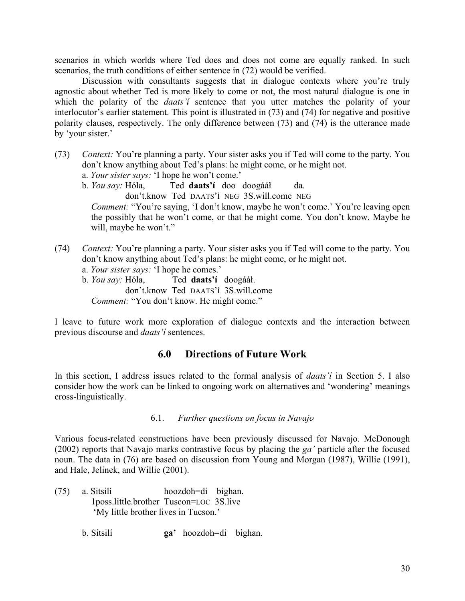scenarios in which worlds where Ted does and does not come are equally ranked. In such scenarios, the truth conditions of either sentence in (72) would be verified.

Discussion with consultants suggests that in dialogue contexts where you're truly agnostic about whether Ted is more likely to come or not, the most natural dialogue is one in which the polarity of the *daats'í* sentence that you utter matches the polarity of your interlocutor's earlier statement. This point is illustrated in (73) and (74) for negative and positive polarity clauses, respectively. The only difference between (73) and (74) is the utterance made by 'your sister.'

- (73) *Context:* You're planning a party. Your sister asks you if Ted will come to the party. You don't know anything about Ted's plans: he might come, or he might not.
	- a. *Your sister says:* 'I hope he won't come.'
	- b. *You say:* Hóla, Ted **daats'í** doo doogááł da. don't.know Ted DAATS'Í NEG 3S.will.come NEG *Comment:* "You're saying, 'I don't know, maybe he won't come.' You're leaving open the possibly that he won't come, or that he might come. You don't know. Maybe he will, maybe he won't."
- (74) *Context:* You're planning a party. Your sister asks you if Ted will come to the party. You don't know anything about Ted's plans: he might come, or he might not.
	- a. *Your sister says:* 'I hope he comes.' b. *You say:* Hóla, Ted **daats'í** doogááł.

don't.know Ted DAATS'Í 3S.will.come

*Comment:* "You don't know. He might come."

I leave to future work more exploration of dialogue contexts and the interaction between previous discourse and *daats'í* sentences.

# **6.0 Directions of Future Work**

In this section, I address issues related to the formal analysis of *daats'í* in Section 5. I also consider how the work can be linked to ongoing work on alternatives and 'wondering' meanings cross-linguistically.

6.1. *Further questions on focus in Navajo*

Various focus-related constructions have been previously discussed for Navajo. McDonough (2002) reports that Navajo marks contrastive focus by placing the *ga'* particle after the focused noun. The data in (76) are based on discussion from Young and Morgan (1987), Willie (1991), and Hale, Jelinek, and Willie (2001).

- (75) a. Sitsilí hoozdoh=di bighan. 1poss.little.brother Tuscon=LOC 3S.live 'My little brother lives in Tucson.'
	- b. Sitsilí **ga'** hoozdoh=di bighan.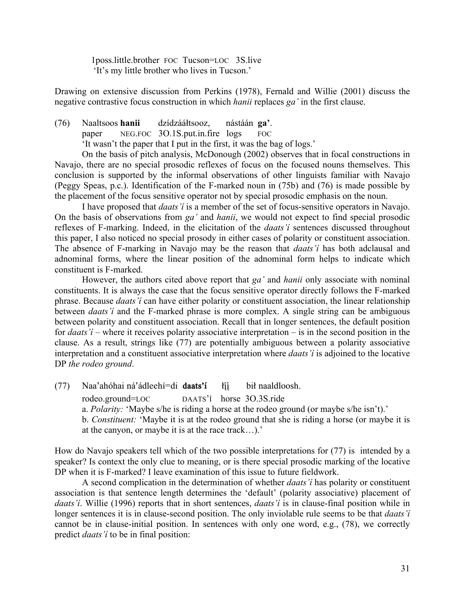1poss.little.brother FOC Tucson=LOC 3S.live 'It's my little brother who lives in Tucson.'

Drawing on extensive discussion from Perkins (1978), Fernald and Willie (2001) discuss the negative contrastive focus construction in which *hanii* replaces *ga'* in the first clause.

(76) Naaltsoos **hanii** dzídzááłtsooz, nástáán **ga'**. paper NEG.FOC 3O.1S.put.in.fire logs FOC 'It wasn't the paper that I put in the first, it was the bag of logs.'

On the basis of pitch analysis, McDonough (2002) observes that in focal constructions in Navajo, there are no special prosodic reflexes of focus on the focused nouns themselves. This conclusion is supported by the informal observations of other linguists familiar with Navajo (Peggy Speas, p.c.). Identification of the F-marked noun in (75b) and (76) is made possible by the placement of the focus sensitive operator not by special prosodic emphasis on the noun.

I have proposed that *daats'í* is a member of the set of focus-sensitive operators in Navajo. On the basis of observations from *ga'* and *hanii*, we would not expect to find special prosodic reflexes of F-marking. Indeed, in the elicitation of the *daats'í* sentences discussed throughout this paper, I also noticed no special prosody in either cases of polarity or constituent association. The absence of F-marking in Navajo may be the reason that *daats'í* has both adclausal and adnominal forms, where the linear position of the adnominal form helps to indicate which constituent is F-marked.

However, the authors cited above report that *ga'* and *hanii* only associate with nominal constituents. It is always the case that the focus sensitive operator directly follows the F-marked phrase. Because *daats'í* can have either polarity or constituent association, the linear relationship between *daats'í* and the F-marked phrase is more complex. A single string can be ambiguous between polarity and constituent association. Recall that in longer sentences, the default position for *daats'í* – where it receives polarity associative interpretation – is in the second position in the clause. As a result, strings like (77) are potentially ambiguous between a polarity associative interpretation and a constituent associative interpretation where *daats'í* is adjoined to the locative DP *the rodeo ground*.

(77) Naa'ahóhai ná'ádleehí=di **daats'í** łį́į́ bił naaldloosh. rodeo.ground=LOC DAATS'Í horse 3O.3S.ride a. *Polarity:* 'Maybe s/he is riding a horse at the rodeo ground (or maybe s/he isn't).' b. *Constituent:* 'Maybe it is at the rodeo ground that she is riding a horse (or maybe it is at the canyon, or maybe it is at the race track…).'

How do Navajo speakers tell which of the two possible interpretations for (77) is intended by a speaker? Is context the only clue to meaning, or is there special prosodic marking of the locative DP when it is F-marked? I leave examination of this issue to future fieldwork.

A second complication in the determination of whether *daats'í* has polarity or constituent association is that sentence length determines the 'default' (polarity associative) placement of *daats'í*. Willie (1996) reports that in short sentences, *daats'í* is in clause-final position while in longer sentences it is in clause-second position. The only inviolable rule seems to be that *daats'í* cannot be in clause-initial position. In sentences with only one word, e.g., (78), we correctly predict *daats'í* to be in final position: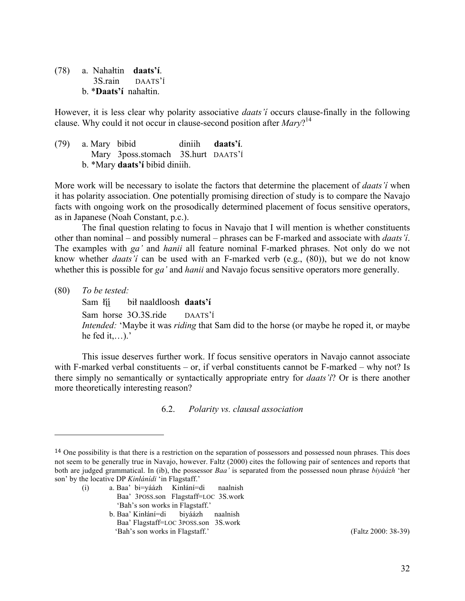(78) a. Nahałtin **daats'í**. 3S.rain DAATS'Í b. \***Daats'í** nahałtin.

However, it is less clear why polarity associative *daats'í* occurs clause-finally in the following clause. Why could it not occur in clause-second position after *Mary*? 14

(79) a. Mary bibid diniih **daats'í**. Mary 3poss.stomach 3S.hurt DAATS'I b. \*Mary **daats'í** bibid diniih.

More work will be necessary to isolate the factors that determine the placement of *daats'í* when it has polarity association. One potentially promising direction of study is to compare the Navajo facts with ongoing work on the prosodically determined placement of focus sensitive operators, as in Japanese (Noah Constant, p.c.).

The final question relating to focus in Navajo that I will mention is whether constituents other than nominal – and possibly numeral – phrases can be F-marked and associate with *daats'í*. The examples with *ga'* and *hanii* all feature nominal F-marked phrases. Not only do we not know whether *daats'í* can be used with an F-marked verb (e.g., (80)), but we do not know whether this is possible for *ga'* and *hanii* and Navajo focus sensitive operators more generally.

(80) *To be tested:* Sam łíi bił naaldloosh **daats'í** Sam horse 3O.3S.ride DAATS'Í *Intended:* 'Maybe it was *riding* that Sam did to the horse (or maybe he roped it, or maybe he fed it,...).'

This issue deserves further work. If focus sensitive operators in Navajo cannot associate with F-marked verbal constituents – or, if verbal constituents cannot be F-marked – why not? Is there simply no semantically or syntactically appropriate entry for *daats'í*? Or is there another more theoretically interesting reason?

6.2. *Polarity vs. clausal association*

(i) a. Baa' bi=yáázh Kinłání=di naalnish Baa' 3POSS.son Flagstaff=LOC 3S.work 'Bah's son works in Flagstaff.'

!!!!!!!!!!!!!!!!!!!!!!!!!!!!!!!!!!!!!!!!!!!!!!!!!!!!!!!

b. Baa' Kinłání=di biyáázh naalnish Baa' Flagstaff=LOC 3POSS.son 3S.work 'Bah's son works in Flagstaff.' (Faltz 2000: 38-39)

<sup>&</sup>lt;sup>14</sup> One possibility is that there is a restriction on the separation of possessors and possessed noun phrases. This does not seem to be generally true in Navajo, however. Faltz (2000) cites the following pair of sentences and reports that both are judged grammatical. In (ib), the possessor *Baa'* is separated from the possessed noun phrase *biyáázh* 'her son' by the locative DP *Kinłánídi* 'in Flagstaff.'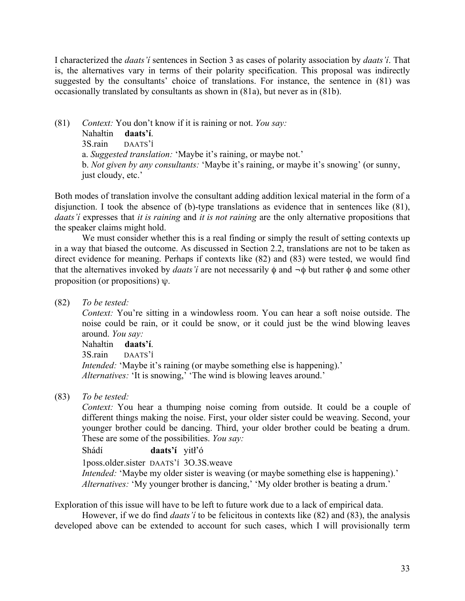I characterized the *daats'í* sentences in Section 3 as cases of polarity association by *daats'í*. That is, the alternatives vary in terms of their polarity specification. This proposal was indirectly suggested by the consultants' choice of translations. For instance, the sentence in (81) was occasionally translated by consultants as shown in (81a), but never as in (81b).

(81) *Context:* You don't know if it is raining or not. *You say:* Nahałtin **daats'í**. 3S.rain DAATS'Í a. *Suggested translation:* 'Maybe it's raining, or maybe not.' b. *Not given by any consultants:* 'Maybe it's raining, or maybe it's snowing' (or sunny, just cloudy, etc.'

Both modes of translation involve the consultant adding addition lexical material in the form of a disjunction. I took the absence of (b)-type translations as evidence that in sentences like (81), *daats'í* expresses that *it is raining* and *it is not raining* are the only alternative propositions that the speaker claims might hold.

We must consider whether this is a real finding or simply the result of setting contexts up in a way that biased the outcome. As discussed in Section 2.2, translations are not to be taken as direct evidence for meaning. Perhaps if contexts like (82) and (83) were tested, we would find that the alternatives invoked by *daats'í* are not necessarily φ and ¬φ but rather φ and some other proposition (or propositions) ψ.

(82) *To be tested:*

*Context:* You're sitting in a windowless room. You can hear a soft noise outside. The noise could be rain, or it could be snow, or it could just be the wind blowing leaves around. *You say:*

Nahałtin **daats'í**. 3S.rain DAATS'Í *Intended:* 'Maybe it's raining (or maybe something else is happening).' *Alternatives:* 'It is snowing,' 'The wind is blowing leaves around.'

(83) *To be tested:*

*Context:* You hear a thumping noise coming from outside. It could be a couple of different things making the noise. First, your older sister could be weaving. Second, your younger brother could be dancing. Third, your older brother could be beating a drum. These are some of the possibilities. *You say:*

Shádí **daats'í** yitł'ó

1poss.older.sister DAATS'Í 3O.3S.weave

*Intended:* 'Maybe my older sister is weaving (or maybe something else is happening).' *Alternatives:* 'My younger brother is dancing,' 'My older brother is beating a drum.'

Exploration of this issue will have to be left to future work due to a lack of empirical data.

However, if we do find *daats'í* to be felicitous in contexts like (82) and (83), the analysis developed above can be extended to account for such cases, which I will provisionally term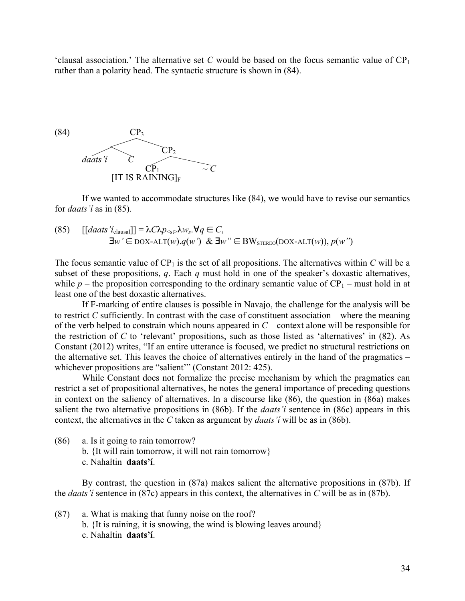'clausal association.' The alternative set C would be based on the focus semantic value of  $\text{CP}_1$ rather than a polarity head. The syntactic structure is shown in (84).



If we wanted to accommodate structures like (84), we would have to revise our semantics for *daats'í* as in (85).

(85) 
$$
[[d\text{aats } 't_{\text{clausal}}]] = \lambda C \lambda p_{\text{}} \lambda w_s. \forall q \in C,
$$
  
\n
$$
\exists w' \in \text{DOX-ALT}(w).q(w') \& \exists w'' \in \text{BW}_{\text{stEREO}}(\text{DOX-ALT}(w)), p(w'')
$$

The focus semantic value of  $\text{CP}_1$  is the set of all propositions. The alternatives within *C* will be a subset of these propositions, *q*. Each *q* must hold in one of the speaker's doxastic alternatives, while  $p$  – the proposition corresponding to the ordinary semantic value of  $\text{CP}_1$  – must hold in at least one of the best doxastic alternatives.

If F-marking of entire clauses is possible in Navajo, the challenge for the analysis will be to restrict *C* sufficiently. In contrast with the case of constituent association – where the meaning of the verb helped to constrain which nouns appeared in *C* – context alone will be responsible for the restriction of *C* to 'relevant' propositions, such as those listed as 'alternatives' in (82). As Constant (2012) writes, "If an entire utterance is focused, we predict no structural restrictions on the alternative set. This leaves the choice of alternatives entirely in the hand of the pragmatics – whichever propositions are "salient" (Constant 2012: 425).

While Constant does not formalize the precise mechanism by which the pragmatics can restrict a set of propositional alternatives, he notes the general importance of preceding questions in context on the saliency of alternatives. In a discourse like (86), the question in (86a) makes salient the two alternative propositions in (86b). If the *daats'í* sentence in (86c) appears in this context, the alternatives in the *C* taken as argument by *daats'í* will be as in (86b).

- (86) a. Is it going to rain tomorrow? b. {It will rain tomorrow, it will not rain tomorrow}
	- c. Nahałtin **daats'í**.

By contrast, the question in (87a) makes salient the alternative propositions in (87b). If the *daats'í* sentence in (87c) appears in this context, the alternatives in *C* will be as in (87b).

(87) a. What is making that funny noise on the roof? b. {It is raining, it is snowing, the wind is blowing leaves around} c. Nahałtin **daats'í**.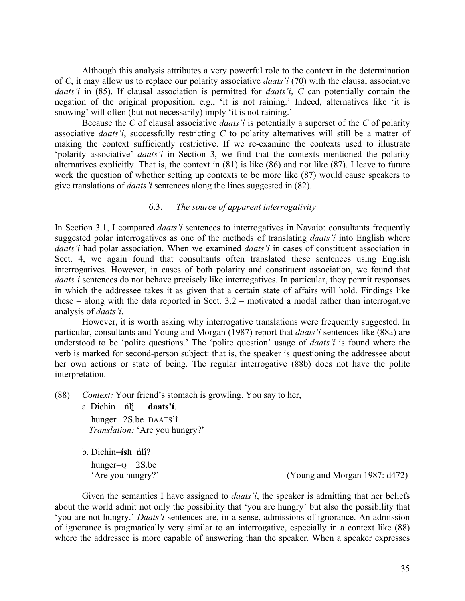Although this analysis attributes a very powerful role to the context in the determination of *C*, it may allow us to replace our polarity associative *daats'í* (70) with the clausal associative *daats'í* in (85). If clausal association is permitted for *daats'í*, *C* can potentially contain the negation of the original proposition, e.g., 'it is not raining.' Indeed, alternatives like 'it is snowing' will often (but not necessarily) imply 'it is not raining.'

Because the *C* of clausal associative *daats'í* is potentially a superset of the *C* of polarity associative *daats'í*, successfully restricting *C* to polarity alternatives will still be a matter of making the context sufficiently restrictive. If we re-examine the contexts used to illustrate 'polarity associative' *daats'í* in Section 3, we find that the contexts mentioned the polarity alternatives explicitly. That is, the context in (81) is like (86) and not like (87). I leave to future work the question of whether setting up contexts to be more like (87) would cause speakers to give translations of *daats'í* sentences along the lines suggested in (82).

### 6.3. *The source of apparent interrogativity*

In Section 3.1, I compared *daats'í* sentences to interrogatives in Navajo: consultants frequently suggested polar interrogatives as one of the methods of translating *daats'í* into English where *daats'í* had polar association. When we examined *daats'í* in cases of constituent association in Sect. 4, we again found that consultants often translated these sentences using English interrogatives. However, in cases of both polarity and constituent association, we found that *daats'í* sentences do not behave precisely like interrogatives. In particular, they permit responses in which the addressee takes it as given that a certain state of affairs will hold. Findings like these – along with the data reported in Sect. 3.2 – motivated a modal rather than interrogative analysis of *daats'í*.

However, it is worth asking why interrogative translations were frequently suggested. In particular, consultants and Young and Morgan (1987) report that *daats'í* sentences like (88a) are understood to be 'polite questions.' The 'polite question' usage of *daats'í* is found where the verb is marked for second-person subject: that is, the speaker is questioning the addressee about her own actions or state of being. The regular interrogative (88b) does not have the polite interpretation.

(88) *Context:* Your friend's stomach is growling. You say to her,

a. Dichin ńli**̨́ daats'í**. hunger 2S.be DAATS'Í  *Translation:* 'Are you hungry?'

b. Dichin=**ísh** ńlį́? hunger= $Q$  2S.be

'Are you hungry?' (Young and Morgan 1987: d472)

Given the semantics I have assigned to *daats'í*, the speaker is admitting that her beliefs about the world admit not only the possibility that 'you are hungry' but also the possibility that 'you are not hungry.' *Daats'í* sentences are, in a sense, admissions of ignorance. An admission of ignorance is pragmatically very similar to an interrogative, especially in a context like (88) where the addressee is more capable of answering than the speaker. When a speaker expresses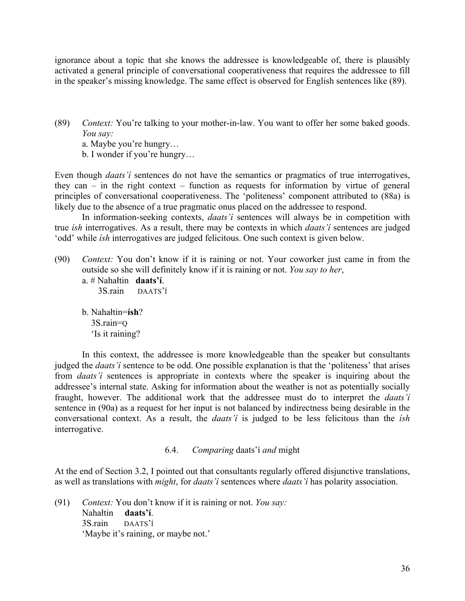ignorance about a topic that she knows the addressee is knowledgeable of, there is plausibly activated a general principle of conversational cooperativeness that requires the addressee to fill in the speaker's missing knowledge. The same effect is observed for English sentences like (89).

(89) *Context:* You're talking to your mother-in-law. You want to offer her some baked goods. *You say:*

a. Maybe you're hungry…

b. I wonder if you're hungry…

Even though *daats'í* sentences do not have the semantics or pragmatics of true interrogatives, they can – in the right context – function as requests for information by virtue of general principles of conversational cooperativeness. The 'politeness' component attributed to (88a) is likely due to the absence of a true pragmatic onus placed on the addressee to respond.

In information-seeking contexts, *daats'í* sentences will always be in competition with true *ísh* interrogatives. As a result, there may be contexts in which *daats'í* sentences are judged 'odd' while *ísh* interrogatives are judged felicitous. One such context is given below.

- (90) *Context:* You don't know if it is raining or not. Your coworker just came in from the outside so she will definitely know if it is raining or not. *You say to her*,
	- a. # Nahałtin **daats'í**. 3S.rain DAATS'Í

b. Nahałtin=**ísh**? 3S.rain=Q 'Is it raining?

In this context, the addressee is more knowledgeable than the speaker but consultants judged the *daats'í* sentence to be odd. One possible explanation is that the 'politeness' that arises from *daats'í* sentences is appropriate in contexts where the speaker is inquiring about the addressee's internal state. Asking for information about the weather is not as potentially socially fraught, however. The additional work that the addressee must do to interpret the *daats'í* sentence in (90a) as a request for her input is not balanced by indirectness being desirable in the conversational context. As a result, the *daats'í* is judged to be less felicitous than the *ísh* interrogative.

6.4. *Comparing* daats'í *and* might

At the end of Section 3.2, I pointed out that consultants regularly offered disjunctive translations, as well as translations with *might*, for *daats'í* sentences where *daats'í* has polarity association.

(91) *Context:* You don't know if it is raining or not. *You say:* Nahałtin **daats'í**. 3S.rain DAATS'Í 'Maybe it's raining, or maybe not.'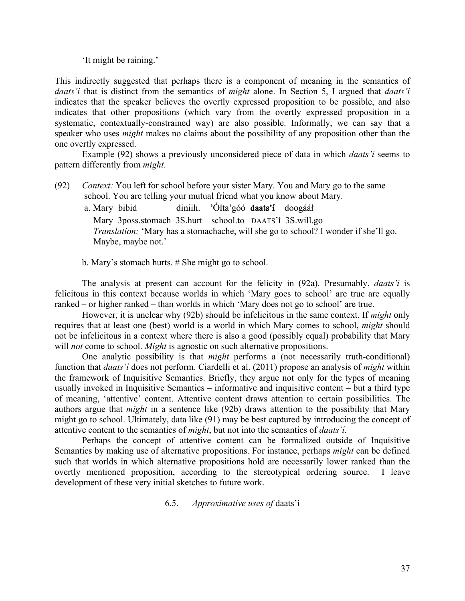'It might be raining.'

This indirectly suggested that perhaps there is a component of meaning in the semantics of *daats'í* that is distinct from the semantics of *might* alone. In Section 5, I argued that *daats'í* indicates that the speaker believes the overtly expressed proposition to be possible, and also indicates that other propositions (which vary from the overtly expressed proposition in a systematic, contextually-constrained way) are also possible. Informally, we can say that a speaker who uses *might* makes no claims about the possibility of any proposition other than the one overtly expressed.

Example (92) shows a previously unconsidered piece of data in which *daats'í* seems to pattern differently from *might*.

(92) *Context:* You left for school before your sister Mary. You and Mary go to the same school. You are telling your mutual friend what you know about Mary. a. Mary bibid diniih. 'Ólta'góó **daats'í** doogááł Mary 3poss.stomach 3S.hurt school.to DAATS'Í 3S.will.go  *Translation:* 'Mary has a stomachache, will she go to school? I wonder if she'll go.

Maybe, maybe not.'

b. Mary's stomach hurts. # She might go to school.

The analysis at present can account for the felicity in (92a). Presumably, *daats'í* is felicitous in this context because worlds in which 'Mary goes to school' are true are equally ranked – or higher ranked – than worlds in which 'Mary does not go to school' are true.

However, it is unclear why (92b) should be infelicitous in the same context. If *might* only requires that at least one (best) world is a world in which Mary comes to school, *might* should not be infelicitous in a context where there is also a good (possibly equal) probability that Mary will *not* come to school. *Might* is agnostic on such alternative propositions.

One analytic possibility is that *might* performs a (not necessarily truth-conditional) function that *daats'í* does not perform. Ciardelli et al. (2011) propose an analysis of *might* within the framework of Inquisitive Semantics. Briefly, they argue not only for the types of meaning usually invoked in Inquisitive Semantics – informative and inquisitive content – but a third type of meaning, 'attentive' content. Attentive content draws attention to certain possibilities. The authors argue that *might* in a sentence like (92b) draws attention to the possibility that Mary might go to school. Ultimately, data like (91) may be best captured by introducing the concept of attentive content to the semantics of *might*, but not into the semantics of *daats'í*.

Perhaps the concept of attentive content can be formalized outside of Inquisitive Semantics by making use of alternative propositions. For instance, perhaps *might* can be defined such that worlds in which alternative propositions hold are necessarily lower ranked than the overtly mentioned proposition, according to the stereotypical ordering source. I leave development of these very initial sketches to future work.

6.5. *Approximative uses of* daats'í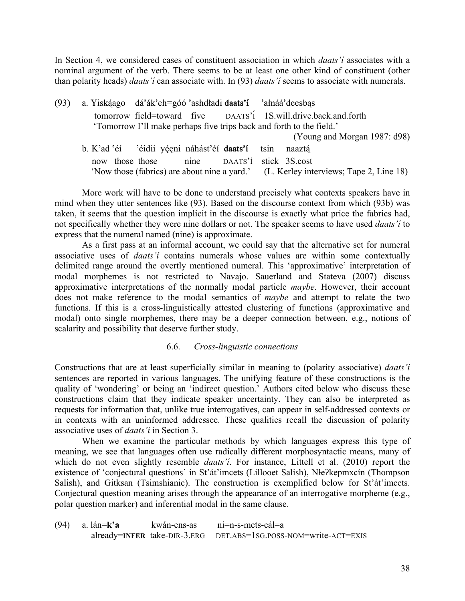In Section 4, we considered cases of constituent association in which *daats'í* associates with a nominal argument of the verb. There seems to be at least one other kind of constituent (other than polarity heads) *daats'í* can associate with. In (93) *daats'í* seems to associate with numerals.

| (93) | a. Yiskáago dá'ák'eh=góó 'ashdładi <b>daats'í</b> 'ałnáá'deesbas |  |                            |                                                                                      |
|------|------------------------------------------------------------------|--|----------------------------|--------------------------------------------------------------------------------------|
|      |                                                                  |  |                            | tomorrow field=toward five DAATS <sup>'</sup> I 1S.will.drive.back.and.forth         |
|      |                                                                  |  |                            | 'Tomorrow I'll make perhaps five trips back and forth to the field.'                 |
|      |                                                                  |  |                            | (Young and Morgan 1987: d98)                                                         |
|      | b. K'ad 'éi 'éidii yéeni náhást'éi daats'í tsin naaztá           |  |                            |                                                                                      |
|      | now those those                                                  |  | nine DAATS' istick 3S.cost |                                                                                      |
|      |                                                                  |  |                            | 'Now those (fabrics) are about nine a yard.' (L. Kerley interviews; Tape 2, Line 18) |

More work will have to be done to understand precisely what contexts speakers have in mind when they utter sentences like (93). Based on the discourse context from which (93b) was taken, it seems that the question implicit in the discourse is exactly what price the fabrics had, not specifically whether they were nine dollars or not. The speaker seems to have used *daats'í* to express that the numeral named (nine) is approximate.

As a first pass at an informal account, we could say that the alternative set for numeral associative uses of *daats'í* contains numerals whose values are within some contextually delimited range around the overtly mentioned numeral. This 'approximative' interpretation of modal morphemes is not restricted to Navajo. Sauerland and Stateva (2007) discuss approximative interpretations of the normally modal particle *maybe*. However, their account does not make reference to the modal semantics of *maybe* and attempt to relate the two functions. If this is a cross-linguistically attested clustering of functions (approximative and modal) onto single morphemes, there may be a deeper connection between, e.g., notions of scalarity and possibility that deserve further study.

### 6.6. *Cross-linguistic connections*

Constructions that are at least superficially similar in meaning to (polarity associative) *daats'í* sentences are reported in various languages. The unifying feature of these constructions is the quality of 'wondering' or being an 'indirect question.' Authors cited below who discuss these constructions claim that they indicate speaker uncertainty. They can also be interpreted as requests for information that, unlike true interrogatives, can appear in self-addressed contexts or in contexts with an uninformed addressee. These qualities recall the discussion of polarity associative uses of *daats'í* in Section 3.

When we examine the particular methods by which languages express this type of meaning, we see that languages often use radically different morphosyntactic means, many of which do not even slightly resemble *daats'í*. For instance, Littell et al. (2010) report the existence of 'conjectural questions' in St'át'imcets (Lillooet Salish), Nłe?kepmxcín (Thompson Salish), and Gitksan (Tsimshianic). The construction is exemplified below for St'át'imcets. Conjectural question meaning arises through the appearance of an interrogative morpheme (e.g., polar question marker) and inferential modal in the same clause.

(94) a. lán=**k'a** kwán-ens-as ni=n-s-mets-cál=a already=**INFER** take-DIR-3.ERG DET.ABS=1SG.POSS-NOM=write-ACT=EXIS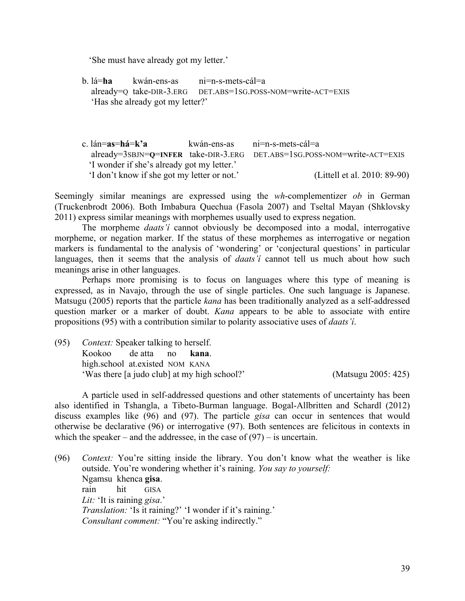'She must have already got my letter.'

b. lá=**ha** kwán-ens-as ni=n-s-mets-cál=a already=Q take-DIR-3.ERG DET.ABS=1SG.POSS-NOM=write-ACT=EXIS 'Has she already got my letter?'

c. lán=**as**=**há**=**k'a** kwán-ens-as ni=n-s-mets-cál=a already=3SBJN=**Q**=**INFER** take-DIR-3.ERG DET.ABS=1SG.POSS-NOM=write-ACT=EXIS 'I wonder if she's already got my letter.' 'I don't know if she got my letter or not.' (Littell et al. 2010: 89-90)

Seemingly similar meanings are expressed using the *wh*-complementizer *ob* in German (Truckenbrodt 2006). Both Imbabura Quechua (Fasola 2007) and Tseltal Mayan (Shklovsky 2011) express similar meanings with morphemes usually used to express negation.

The morpheme *daats'í* cannot obviously be decomposed into a modal, interrogative morpheme, or negation marker. If the status of these morphemes as interrogative or negation markers is fundamental to the analysis of 'wondering' or 'conjectural questions' in particular languages, then it seems that the analysis of *daats'í* cannot tell us much about how such meanings arise in other languages.

Perhaps more promising is to focus on languages where this type of meaning is expressed, as in Navajo, through the use of single particles. One such language is Japanese. Matsugu (2005) reports that the particle *kana* has been traditionally analyzed as a self-addressed question marker or a marker of doubt. *Kana* appears to be able to associate with entire propositions (95) with a contribution similar to polarity associative uses of *daats'í*.

(95) *Context:* Speaker talking to herself. Kookoo de atta no **kana**. high.school at.existed NOM KANA 'Was there [a judo club] at my high school?' (Matsugu 2005: 425)

A particle used in self-addressed questions and other statements of uncertainty has been also identified in Tshangla, a Tibeto-Burman language. Bogal-Allbritten and Schardl (2012) discuss examples like (96) and (97). The particle *gisa* can occur in sentences that would otherwise be declarative (96) or interrogative (97). Both sentences are felicitous in contexts in which the speaker – and the addressee, in the case of  $(97)$  – is uncertain.

(96) *Context:* You're sitting inside the library. You don't know what the weather is like outside. You're wondering whether it's raining. *You say to yourself:* Ngamsu khenca **gisa**. rain hit GISA *Lit:* 'It is raining *gisa*.' *Translation:* 'Is it raining?' 'I wonder if it's raining.' *Consultant comment:* "You're asking indirectly."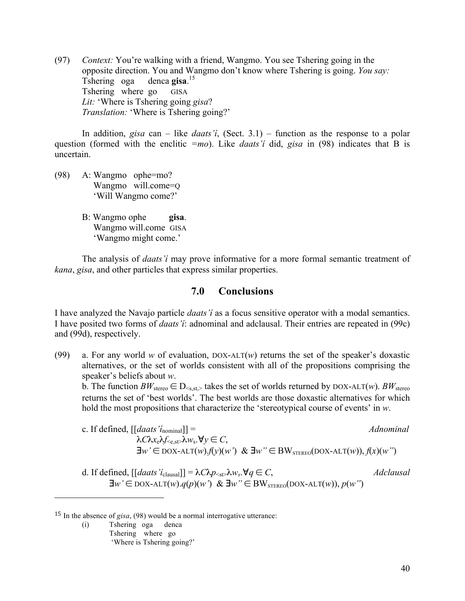(97) *Context:* You're walking with a friend, Wangmo. You see Tshering going in the opposite direction. You and Wangmo don't know where Tshering is going. *You say:* Tshering oga denca gisa. $^{15}$ Tshering where go GISA *Lit:* 'Where is Tshering going *gisa*? *Translation:* 'Where is Tshering going?'

In addition, *gisa* can – like *daats'í*, (Sect. 3.1) – function as the response to a polar question (formed with the enclitic *=mo*). Like *daats'í* did, *gisa* in (98) indicates that B is uncertain.

- (98) A: Wangmo ophe=mo? Wangmo will.come=Q 'Will Wangmo come?'
	- B: Wangmo ophe **gisa**. Wangmo will.come GISA 'Wangmo might come.'

The analysis of *daats'í* may prove informative for a more formal semantic treatment of *kana*, *gisa*, and other particles that express similar properties.

# **7.0 Conclusions**

I have analyzed the Navajo particle *daats'í* as a focus sensitive operator with a modal semantics. I have posited two forms of *daats'í*: adnominal and adclausal. Their entries are repeated in (99c) and (99d), respectively.

(99) a. For any world *w* of evaluation, DOX-ALT(*w*) returns the set of the speaker's doxastic alternatives, or the set of worlds consistent with all of the propositions comprising the speaker's beliefs about *w*. b. The function  $BW_{\text{stereo}} \in D_{\leq s, st>}$  takes the set of worlds returned by DOX-ALT(*w*).  $BW_{\text{stereo}}$ returns the set of 'best worlds'. The best worlds are those doxastic alternatives for which

hold the most propositions that characterize the 'stereotypical course of events' in *w*.

c. If defined, [[*daats'í*nominal]] = *Adnominal* λ*C*λ*x*eλ*f*<e,st>λ*w*s.∀*y* ∈ *C*,  $\exists w' \in$  DOX-ALT(*w*).*f*(*y*)(*w'*) &  $\exists w'' \in BW_{\text{STEREO}}($ DOX-ALT(*w*)), *f*(*x*)(*w''*)

d. If defined,  $\left[\frac{d}{d\alpha}\right] = \lambda C \lambda p_{\leq s} \lambda w_s$ .  $\forall q \in C$ , *Adclausal*  $\exists w' \in$  DOX-ALT(*w*).*q*(*p*)(*w'*) &  $\exists w'' \in BW_{\text{STEREO}}(DOX-ALT(w))$ , *p*(*w''*)

(i) Tshering oga denca Tshering where go

!!!!!!!!!!!!!!!!!!!!!!!!!!!!!!!!!!!!!!!!!!!!!!!!!!!!!!!

<sup>15</sup> In the absence of *gisa*, (98) would be a normal interrogative utterance:

 <sup>&#</sup>x27;Where is Tshering going?'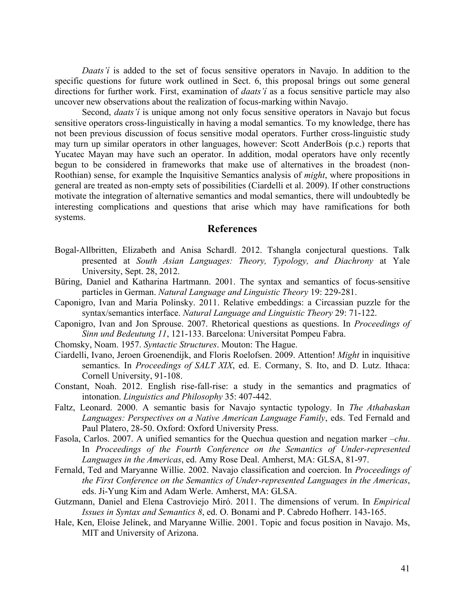*Daats'í* is added to the set of focus sensitive operators in Navajo. In addition to the specific questions for future work outlined in Sect. 6, this proposal brings out some general directions for further work. First, examination of *daats'í* as a focus sensitive particle may also uncover new observations about the realization of focus-marking within Navajo.

Second, *daats'í* is unique among not only focus sensitive operators in Navajo but focus sensitive operators cross-linguistically in having a modal semantics. To my knowledge, there has not been previous discussion of focus sensitive modal operators. Further cross-linguistic study may turn up similar operators in other languages, however: Scott AnderBois (p.c.) reports that Yucatec Mayan may have such an operator. In addition, modal operators have only recently begun to be considered in frameworks that make use of alternatives in the broadest (non-Roothian) sense, for example the Inquisitive Semantics analysis of *might*, where propositions in general are treated as non-empty sets of possibilities (Ciardelli et al. 2009). If other constructions motivate the integration of alternative semantics and modal semantics, there will undoubtedly be interesting complications and questions that arise which may have ramifications for both systems.

## **References**

- Bogal-Allbritten, Elizabeth and Anisa Schardl. 2012. Tshangla conjectural questions. Talk presented at *South Asian Languages: Theory, Typology, and Diachrony* at Yale University, Sept. 28, 2012.
- Büring, Daniel and Katharina Hartmann. 2001. The syntax and semantics of focus-sensitive particles in German. *Natural Language and Linguistic Theory* 19: 229-281.
- Caponigro, Ivan and Maria Polinsky. 2011. Relative embeddings: a Circassian puzzle for the syntax/semantics interface. *Natural Language and Linguistic Theory* 29: 71-122.
- Caponigro, Ivan and Jon Sprouse. 2007. Rhetorical questions as questions. In *Proceedings of Sinn und Bedeutung 11*, 121-133. Barcelona: Universitat Pompeu Fabra.
- Chomsky, Noam. 1957. *Syntactic Structures*. Mouton: The Hague.
- Ciardelli, Ivano, Jeroen Groenendijk, and Floris Roelofsen. 2009. Attention! *Might* in inquisitive semantics. In *Proceedings of SALT XIX*, ed. E. Cormany, S. Ito, and D. Lutz. Ithaca: Cornell University, 91-108.
- Constant, Noah. 2012. English rise-fall-rise: a study in the semantics and pragmatics of intonation. *Linguistics and Philosophy* 35: 407-442.
- Faltz, Leonard. 2000. A semantic basis for Navajo syntactic typology. In *The Athabaskan Languages: Perspectives on a Native American Language Family*, eds. Ted Fernald and Paul Platero, 28-50. Oxford: Oxford University Press.
- Fasola, Carlos. 2007. A unified semantics for the Quechua question and negation marker *–chu*. In *Proceedings of the Fourth Conference on the Semantics of Under-represented Languages in the Americas*, ed. Amy Rose Deal. Amherst, MA: GLSA, 81-97.
- Fernald, Ted and Maryanne Willie. 2002. Navajo classification and coercion. In *Proceedings of the First Conference on the Semantics of Under-represented Languages in the Americas*, eds. Ji-Yung Kim and Adam Werle. Amherst, MA: GLSA.
- Gutzmann, Daniel and Elena Castroviejo Miró. 2011. The dimensions of verum. In *Empirical Issues in Syntax and Semantics 8*, ed. O. Bonami and P. Cabredo Hofherr. 143-165.
- Hale, Ken, Eloise Jelinek, and Maryanne Willie. 2001. Topic and focus position in Navajo. Ms, MIT and University of Arizona.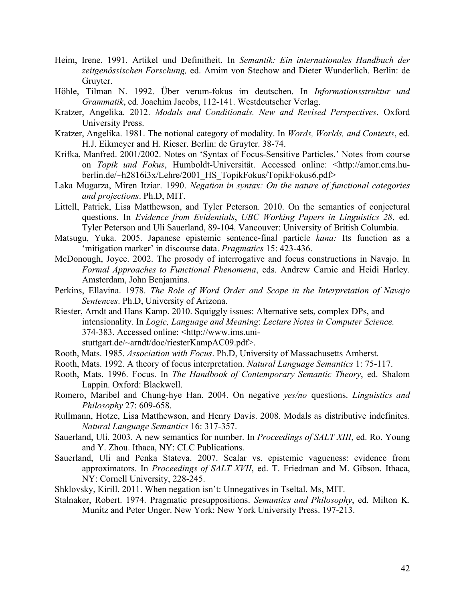- Heim, Irene. 1991. Artikel und Definitheit. In *Semantik: Ein internationales Handbuch der zeitgenössischen Forschung,* ed. Arnim von Stechow and Dieter Wunderlich. Berlin: de Gruyter.
- Höhle, Tilman N. 1992. Über verum-fokus im deutschen. In *Informationsstruktur und Grammatik*, ed. Joachim Jacobs, 112-141. Westdeutscher Verlag.
- Kratzer, Angelika. 2012. *Modals and Conditionals. New and Revised Perspectives*. Oxford University Press.
- Kratzer, Angelika. 1981. The notional category of modality. In *Words, Worlds, and Contexts*, ed. H.J. Eikmeyer and H. Rieser. Berlin: de Gruyter. 38-74.
- Krifka, Manfred. 2001/2002. Notes on 'Syntax of Focus-Sensitive Particles.' Notes from course on *Topik und Fokus*, Humboldt-Universität. Accessed online: <http://amor.cms.huberlin.de/~h2816i3x/Lehre/2001 HS TopikFokus/TopikFokus6.pdf>
- Laka Mugarza, Miren Itziar. 1990. *Negation in syntax: On the nature of functional categories and projections*. Ph.D, MIT.
- Littell, Patrick, Lisa Matthewson, and Tyler Peterson. 2010. On the semantics of conjectural questions. In *Evidence from Evidentials*, *UBC Working Papers in Linguistics 28*, ed. Tyler Peterson and Uli Sauerland, 89-104. Vancouver: University of British Columbia.
- Matsugu, Yuka. 2005. Japanese epistemic sentence-final particle *kana:* Its function as a 'mitigation marker' in discourse data. *Pragmatics* 15: 423-436.
- McDonough, Joyce. 2002. The prosody of interrogative and focus constructions in Navajo. In *Formal Approaches to Functional Phenomena*, eds. Andrew Carnie and Heidi Harley. Amsterdam, John Benjamins.
- Perkins, Ellavina. 1978. *The Role of Word Order and Scope in the Interpretation of Navajo Sentences*. Ph.D, University of Arizona.
- Riester, Arndt and Hans Kamp. 2010. Squiggly issues: Alternative sets, complex DPs, and intensionality. In *Logic, Language and Meaning*: *Lecture Notes in Computer Science.*  374-383. Accessed online: <http://www.ims.unistuttgart.de/~arndt/doc/riesterKampAC09.pdf>.
- Rooth, Mats. 1985. *Association with Focus*. Ph.D, University of Massachusetts Amherst.
- Rooth, Mats. 1992. A theory of focus interpretation. *Natural Language Semantics* 1: 75-117.
- Rooth, Mats. 1996. Focus. In *The Handbook of Contemporary Semantic Theory*, ed. Shalom Lappin. Oxford: Blackwell.
- Romero, Maribel and Chung-hye Han. 2004. On negative *yes/no* questions. *Linguistics and Philosophy* 27: 609-658.
- Rullmann, Hotze, Lisa Matthewson, and Henry Davis. 2008. Modals as distributive indefinites. *Natural Language Semantics* 16: 317-357.
- Sauerland, Uli. 2003. A new semantics for number. In *Proceedings of SALT XIII*, ed. Ro. Young and Y. Zhou. Ithaca, NY: CLC Publications.
- Sauerland, Uli and Penka Stateva. 2007. Scalar vs. epistemic vagueness: evidence from approximators. In *Proceedings of SALT XVII*, ed. T. Friedman and M. Gibson. Ithaca, NY: Cornell University, 228-245.
- Shklovsky, Kirill. 2011. When negation isn't: Unnegatives in Tseltal. Ms, MIT.
- Stalnaker, Robert. 1974. Pragmatic presuppositions. *Semantics and Philosophy*, ed. Milton K. Munitz and Peter Unger. New York: New York University Press. 197-213.